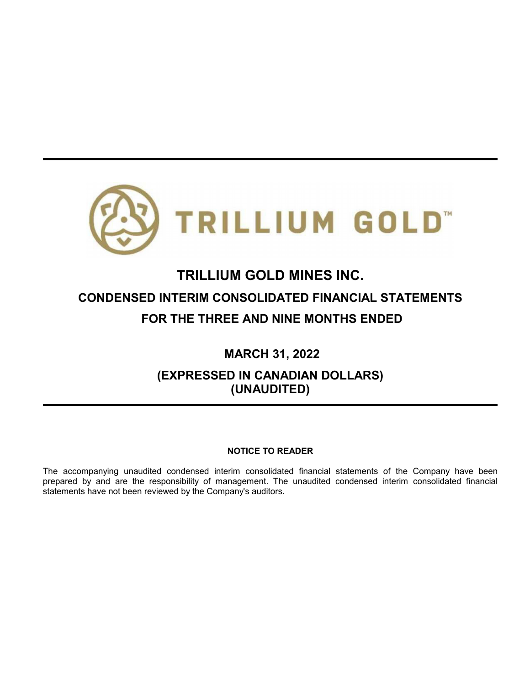

# **TRILLIUM GOLD MINES INC. CONDENSED INTERIM CONSOLIDATED FINANCIAL STATEMENTS FOR THE THREE AND NINE MONTHS ENDED**

**MARCH 31, 2022**

**(EXPRESSED IN CANADIAN DOLLARS) (UNAUDITED)**

## **NOTICE TO READER**

The accompanying unaudited condensed interim consolidated financial statements of the Company have been prepared by and are the responsibility of management. The unaudited condensed interim consolidated financial statements have not been reviewed by the Company's auditors.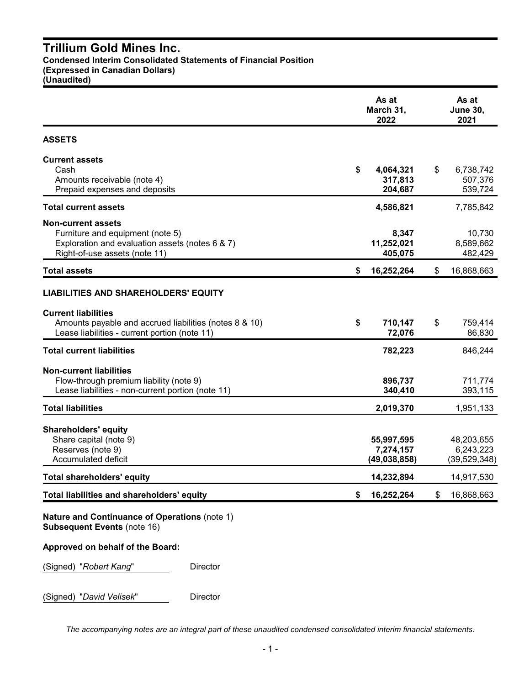## **Trillium Gold Mines Inc. Condensed Interim Consolidated Statements of Financial Position**

**(Expressed in Canadian Dollars)**

**(Unaudited)**

|                                                                                                                                                   |    | As at<br><b>June 30,</b><br>2021          |                                           |
|---------------------------------------------------------------------------------------------------------------------------------------------------|----|-------------------------------------------|-------------------------------------------|
| <b>ASSETS</b>                                                                                                                                     |    |                                           |                                           |
| <b>Current assets</b><br>Cash<br>Amounts receivable (note 4)<br>Prepaid expenses and deposits                                                     | \$ | 4,064,321<br>317,813<br>204,687           | \$<br>6,738,742<br>507,376<br>539,724     |
| <b>Total current assets</b>                                                                                                                       |    | 4,586,821                                 | 7,785,842                                 |
| <b>Non-current assets</b><br>Furniture and equipment (note 5)<br>Exploration and evaluation assets (notes 6 & 7)<br>Right-of-use assets (note 11) |    | 8,347<br>11,252,021<br>405,075            | 10,730<br>8,589,662<br>482,429            |
| <b>Total assets</b>                                                                                                                               | S  | 16,252,264                                | \$<br>16,868,663                          |
| <b>LIABILITIES AND SHAREHOLDERS' EQUITY</b>                                                                                                       |    |                                           |                                           |
| <b>Current liabilities</b><br>Amounts payable and accrued liabilities (notes 8 & 10)<br>Lease liabilities - current portion (note 11)             | \$ | 710,147<br>72,076                         | \$<br>759,414<br>86,830                   |
| <b>Total current liabilities</b>                                                                                                                  |    | 782,223                                   | 846,244                                   |
| <b>Non-current liabilities</b><br>Flow-through premium liability (note 9)<br>Lease liabilities - non-current portion (note 11)                    |    | 896,737<br>340,410                        | 711,774<br>393,115                        |
| <b>Total liabilities</b>                                                                                                                          |    | 2,019,370                                 | 1,951,133                                 |
| <b>Shareholders' equity</b><br>Share capital (note 9)<br>Reserves (note 9)<br>Accumulated deficit                                                 |    | 55,997,595<br>7,274,157<br>(49, 038, 858) | 48,203,655<br>6,243,223<br>(39, 529, 348) |
| Total shareholders' equity                                                                                                                        |    | 14,232,894                                | 14,917,530                                |
| Total liabilities and shareholders' equity                                                                                                        | \$ | 16,252,264                                | \$<br>16,868,663                          |
| <b>Nature and Continuance of Operations (note 1)</b><br><b>Subsequent Events (note 16)</b>                                                        |    |                                           |                                           |
| Approved on behalf of the Board:                                                                                                                  |    |                                           |                                           |
| (Signed) "Robert Kang"<br>Director                                                                                                                |    |                                           |                                           |

(Signed) "*David Velisek*" Director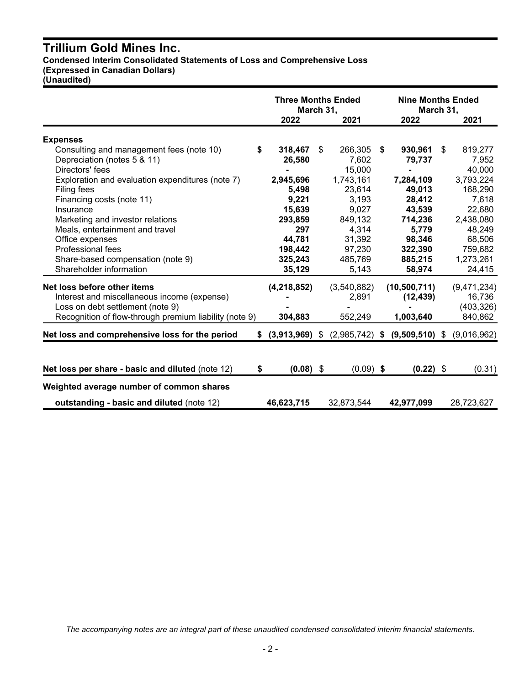## **Trillium Gold Mines Inc.**

**Condensed Interim Consolidated Statements of Loss and Comprehensive Loss (Expressed in Canadian Dollars)**

**(Unaudited)**

|                                                        |                      | <b>Three Months Ended</b><br>March 31, | <b>Nine Months Ended</b><br>March 31, |               |
|--------------------------------------------------------|----------------------|----------------------------------------|---------------------------------------|---------------|
|                                                        | 2022                 | 2021                                   | 2022                                  | 2021          |
| <b>Expenses</b>                                        |                      |                                        |                                       |               |
| Consulting and management fees (note 10)<br>\$         | 318,467              | 266,305<br>\$                          | 930,961<br>\$                         | \$<br>819,277 |
| Depreciation (notes 5 & 11)                            | 26,580               | 7,602                                  | 79,737                                | 7,952         |
| Directors' fees                                        |                      | 15,000                                 |                                       | 40,000        |
| Exploration and evaluation expenditures (note 7)       | 2,945,696            | 1,743,161                              | 7,284,109                             | 3,793,224     |
| Filing fees                                            | 5,498                | 23,614                                 | 49,013                                | 168,290       |
| Financing costs (note 11)                              | 9,221                | 3,193                                  | 28,412                                | 7,618         |
| Insurance                                              | 15,639               | 9,027                                  | 43,539                                | 22,680        |
| Marketing and investor relations                       | 293,859              | 849,132                                | 714,236                               | 2,438,080     |
| Meals, entertainment and travel                        | 297                  | 4,314                                  | 5,779                                 | 48,249        |
| Office expenses                                        | 44,781               | 31,392                                 | 98,346                                | 68,506        |
| Professional fees                                      | 198,442              | 97,230                                 | 322,390                               | 759,682       |
| Share-based compensation (note 9)                      | 325,243              | 485,769                                | 885,215                               | 1,273,261     |
| Shareholder information                                | 35,129               | 5,143                                  | 58,974                                | 24,415        |
| Net loss before other items                            | (4, 218, 852)        | (3,540,882)                            | (10, 500, 711)                        | (9,471,234)   |
| Interest and miscellaneous income (expense)            |                      | 2,891                                  | (12, 439)                             | 16,736        |
| Loss on debt settlement (note 9)                       |                      |                                        |                                       | (403, 326)    |
| Recognition of flow-through premium liability (note 9) | 304,883              | 552,249                                | 1,003,640                             | 840,862       |
| Net loss and comprehensive loss for the period         | $$^{(3,913,969)}$ \$ | $(2,985,742)$ \$                       | $(9,509,510)$ \$                      | (9,016,962)   |
|                                                        |                      |                                        |                                       |               |
| Net loss per share - basic and diluted (note 12)<br>S. | $(0.08)$ \$          | $(0.09)$ \$                            | $(0.22)$ \$                           | (0.31)        |
| Weighted average number of common shares               |                      |                                        |                                       |               |
| outstanding - basic and diluted (note 12)              | 46,623,715           | 32,873,544                             | 42,977,099                            | 28,723,627    |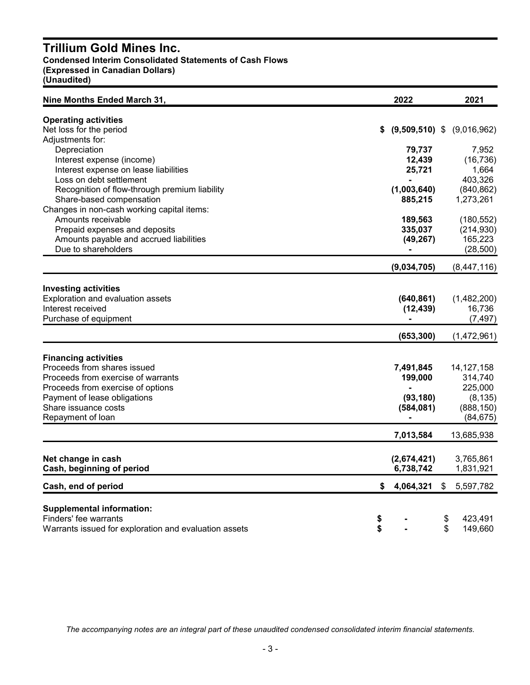## **Trillium Gold Mines Inc.**

**Condensed Interim Consolidated Statements of Cash Flows**

**(Expressed in Canadian Dollars)**

**(Unaudited)**

| Nine Months Ended March 31,                                                                                                                                                                                        | 2022                                           | 2021                                                                      |
|--------------------------------------------------------------------------------------------------------------------------------------------------------------------------------------------------------------------|------------------------------------------------|---------------------------------------------------------------------------|
| <b>Operating activities</b><br>Net loss for the period<br>Adjustments for:                                                                                                                                         | $(9,509,510)$ \$<br>\$                         | (9,016,962)                                                               |
| Depreciation<br>Interest expense (income)<br>Interest expense on lease liabilities<br>Loss on debt settlement                                                                                                      | 79,737<br>12,439<br>25,721                     | 7,952<br>(16, 736)<br>1,664<br>403,326                                    |
| Recognition of flow-through premium liability<br>Share-based compensation<br>Changes in non-cash working capital items:                                                                                            | (1,003,640)<br>885,215                         | (840, 862)<br>1,273,261                                                   |
| Amounts receivable<br>Prepaid expenses and deposits<br>Amounts payable and accrued liabilities<br>Due to shareholders                                                                                              | 189,563<br>335,037<br>(49, 267)                | (180, 552)<br>(214, 930)<br>165,223<br>(28, 500)                          |
|                                                                                                                                                                                                                    | (9,034,705)                                    | (8,447,116)                                                               |
| <b>Investing activities</b><br>Exploration and evaluation assets<br>Interest received<br>Purchase of equipment                                                                                                     | (640, 861)<br>(12, 439)                        | (1,482,200)<br>16,736<br>(7, 497)                                         |
|                                                                                                                                                                                                                    | (653, 300)                                     | (1,472,961)                                                               |
| <b>Financing activities</b><br>Proceeds from shares issued<br>Proceeds from exercise of warrants<br>Proceeds from exercise of options<br>Payment of lease obligations<br>Share issuance costs<br>Repayment of loan | 7,491,845<br>199,000<br>(93, 180)<br>(584,081) | 14, 127, 158<br>314,740<br>225,000<br>(8, 135)<br>(888, 150)<br>(84, 675) |
|                                                                                                                                                                                                                    | 7,013,584                                      | 13,685,938                                                                |
| Net change in cash<br>Cash, beginning of period                                                                                                                                                                    | (2,674,421)<br>6,738,742                       | 3,765,861<br>1,831,921                                                    |
| Cash, end of period                                                                                                                                                                                                | \$<br>4,064,321                                | \$<br>5,597,782                                                           |
| <b>Supplemental information:</b><br>Finders' fee warrants<br>Warrants issued for exploration and evaluation assets                                                                                                 | \$<br>\$                                       | 423,491<br>\$<br>\$<br>149,660                                            |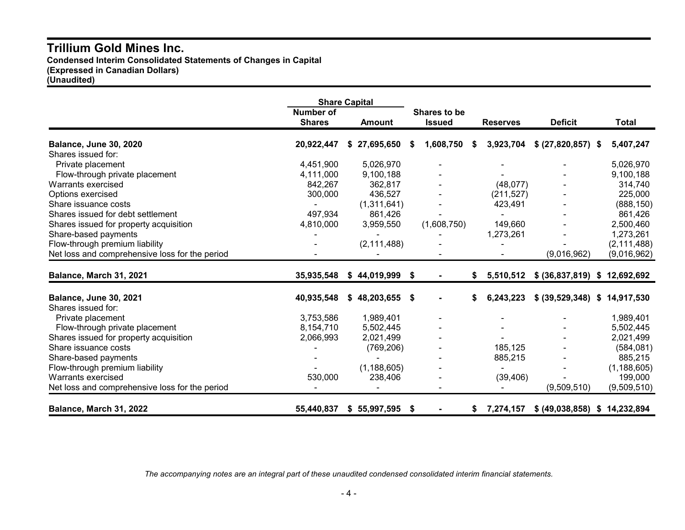## **Trillium Gold Mines Inc. Condensed Interim Consolidated Statements of Changes in Capital (Expressed in Canadian Dollars) (Unaudited)**

|                                                |                                   | <b>Share Capital</b> |    |                               |      |                 |                               |               |
|------------------------------------------------|-----------------------------------|----------------------|----|-------------------------------|------|-----------------|-------------------------------|---------------|
|                                                | <b>Number of</b><br><b>Shares</b> | <b>Amount</b>        |    | Shares to be<br><b>Issued</b> |      | <b>Reserves</b> | <b>Deficit</b>                | Total         |
| <b>Balance, June 30, 2020</b>                  | 20,922,447                        | 27,695,650<br>S.     | S  | 1,608,750                     | - 56 | 3,923,704       | \$ (27,820,857) \$            | 5,407,247     |
| Shares issued for:                             |                                   |                      |    |                               |      |                 |                               |               |
| Private placement                              | 4,451,900                         | 5,026,970            |    |                               |      |                 |                               | 5,026,970     |
| Flow-through private placement                 | 4,111,000                         | 9,100,188            |    |                               |      |                 |                               | 9,100,188     |
| Warrants exercised                             | 842,267                           | 362,817              |    |                               |      | (48,077)        |                               | 314,740       |
| Options exercised                              | 300,000                           | 436,527              |    |                               |      | (211, 527)      |                               | 225,000       |
| Share issuance costs                           |                                   | (1,311,641)          |    |                               |      | 423,491         |                               | (888, 150)    |
| Shares issued for debt settlement              | 497,934                           | 861,426              |    |                               |      |                 |                               | 861,426       |
| Shares issued for property acquisition         | 4,810,000                         | 3,959,550            |    | (1,608,750)                   |      | 149,660         |                               | 2,500,460     |
| Share-based payments                           |                                   |                      |    |                               |      | 1,273,261       |                               | 1,273,261     |
| Flow-through premium liability                 |                                   | (2, 111, 488)        |    |                               |      |                 |                               | (2, 111, 488) |
| Net loss and comprehensive loss for the period |                                   |                      |    |                               |      |                 | (9,016,962)                   | (9,016,962)   |
| Balance, March 31, 2021                        | 35,935,548                        | \$44,019,999         | \$ |                               | S.   | 5,510,512       | \$ (36,837,819)               | \$12,692,692  |
| <b>Balance, June 30, 2021</b>                  | 40,935,548                        | \$48,203,655         | S  |                               | S.   | 6,243,223       | \$ (39,529,348)               | \$14,917,530  |
| Shares issued for:                             |                                   |                      |    |                               |      |                 |                               |               |
| Private placement                              | 3,753,586                         | 1,989,401            |    |                               |      |                 |                               | 1,989,401     |
| Flow-through private placement                 | 8,154,710                         | 5,502,445            |    |                               |      |                 |                               | 5,502,445     |
| Shares issued for property acquisition         | 2,066,993                         | 2,021,499            |    |                               |      |                 |                               | 2,021,499     |
| Share issuance costs                           |                                   | (769, 206)           |    |                               |      | 185,125         |                               | (584, 081)    |
| Share-based payments                           |                                   |                      |    |                               |      | 885,215         |                               | 885,215       |
| Flow-through premium liability                 |                                   | (1, 188, 605)        |    |                               |      |                 |                               | (1, 188, 605) |
| Warrants exercised                             | 530,000                           | 238,406              |    |                               |      | (39, 406)       |                               | 199,000       |
| Net loss and comprehensive loss for the period |                                   |                      |    |                               |      |                 | (9,509,510)                   | (9,509,510)   |
| Balance, March 31, 2022                        | 55,440,837                        | \$55,997,595         | \$ |                               | S    | 7,274,157       | \$ (49,038,858) \$ 14,232,894 |               |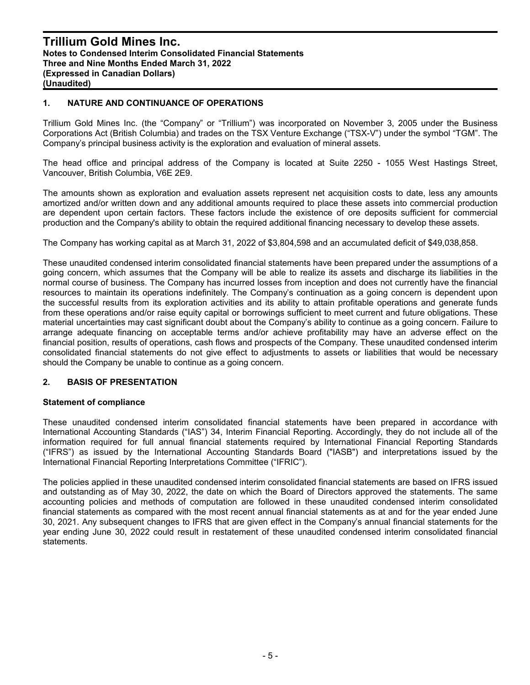#### **1. NATURE AND CONTINUANCE OF OPERATIONS**

Trillium Gold Mines Inc. (the "Company" or "Trillium") was incorporated on November 3, 2005 under the Business Corporations Act (British Columbia) and trades on the TSX Venture Exchange ("TSX-V") under the symbol "TGM". The Company's principal business activity is the exploration and evaluation of mineral assets.

The head office and principal address of the Company is located at Suite 2250 - 1055 West Hastings Street, Vancouver, British Columbia, V6E 2E9.

The amounts shown as exploration and evaluation assets represent net acquisition costs to date, less any amounts amortized and/or written down and any additional amounts required to place these assets into commercial production are dependent upon certain factors. These factors include the existence of ore deposits sufficient for commercial production and the Company's ability to obtain the required additional financing necessary to develop these assets.

The Company has working capital as at March 31, 2022 of \$3,804,598 and an accumulated deficit of \$49,038,858.

These unaudited condensed interim consolidated financial statements have been prepared under the assumptions of a going concern, which assumes that the Company will be able to realize its assets and discharge its liabilities in the normal course of business. The Company has incurred losses from inception and does not currently have the financial resources to maintain its operations indefinitely. The Company's continuation as a going concern is dependent upon the successful results from its exploration activities and its ability to attain profitable operations and generate funds from these operations and/or raise equity capital or borrowings sufficient to meet current and future obligations. These material uncertainties may cast significant doubt about the Company's ability to continue as a going concern. Failure to arrange adequate financing on acceptable terms and/or achieve profitability may have an adverse effect on the financial position, results of operations, cash flows and prospects of the Company. These unaudited condensed interim consolidated financial statements do not give effect to adjustments to assets or liabilities that would be necessary should the Company be unable to continue as a going concern.

## **2. BASIS OF PRESENTATION**

#### **Statement of compliance**

These unaudited condensed interim consolidated financial statements have been prepared in accordance with International Accounting Standards ("IAS") 34, Interim Financial Reporting. Accordingly, they do not include all of the information required for full annual financial statements required by International Financial Reporting Standards ("IFRS") as issued by the International Accounting Standards Board ("IASB") and interpretations issued by the International Financial Reporting Interpretations Committee ("IFRIC").

The policies applied in these unaudited condensed interim consolidated financial statements are based on IFRS issued and outstanding as of May 30, 2022, the date on which the Board of Directors approved the statements. The same accounting policies and methods of computation are followed in these unaudited condensed interim consolidated financial statements as compared with the most recent annual financial statements as at and for the year ended June 30, 2021. Any subsequent changes to IFRS that are given effect in the Company's annual financial statements for the year ending June 30, 2022 could result in restatement of these unaudited condensed interim consolidated financial statements.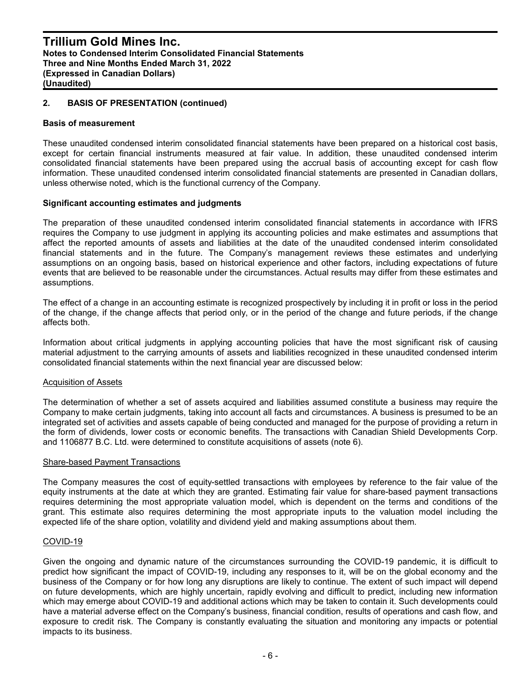#### **2. BASIS OF PRESENTATION (continued)**

#### **Basis of measurement**

These unaudited condensed interim consolidated financial statements have been prepared on a historical cost basis, except for certain financial instruments measured at fair value. In addition, these unaudited condensed interim consolidated financial statements have been prepared using the accrual basis of accounting except for cash flow information. These unaudited condensed interim consolidated financial statements are presented in Canadian dollars, unless otherwise noted, which is the functional currency of the Company.

#### **Significant accounting estimates and judgments**

The preparation of these unaudited condensed interim consolidated financial statements in accordance with IFRS requires the Company to use judgment in applying its accounting policies and make estimates and assumptions that affect the reported amounts of assets and liabilities at the date of the unaudited condensed interim consolidated financial statements and in the future. The Company's management reviews these estimates and underlying assumptions on an ongoing basis, based on historical experience and other factors, including expectations of future events that are believed to be reasonable under the circumstances. Actual results may differ from these estimates and assumptions.

The effect of a change in an accounting estimate is recognized prospectively by including it in profit or loss in the period of the change, if the change affects that period only, or in the period of the change and future periods, if the change affects both.

Information about critical judgments in applying accounting policies that have the most significant risk of causing material adjustment to the carrying amounts of assets and liabilities recognized in these unaudited condensed interim consolidated financial statements within the next financial year are discussed below:

#### Acquisition of Assets

The determination of whether a set of assets acquired and liabilities assumed constitute a business may require the Company to make certain judgments, taking into account all facts and circumstances. A business is presumed to be an integrated set of activities and assets capable of being conducted and managed for the purpose of providing a return in the form of dividends, lower costs or economic benefits. The transactions with Canadian Shield Developments Corp. and 1106877 B.C. Ltd. were determined to constitute acquisitions of assets (note 6).

#### Share-based Payment Transactions

The Company measures the cost of equity-settled transactions with employees by reference to the fair value of the equity instruments at the date at which they are granted. Estimating fair value for share-based payment transactions requires determining the most appropriate valuation model, which is dependent on the terms and conditions of the grant. This estimate also requires determining the most appropriate inputs to the valuation model including the expected life of the share option, volatility and dividend yield and making assumptions about them.

#### COVID-19

Given the ongoing and dynamic nature of the circumstances surrounding the COVID-19 pandemic, it is difficult to predict how significant the impact of COVID-19, including any responses to it, will be on the global economy and the business of the Company or for how long any disruptions are likely to continue. The extent of such impact will depend on future developments, which are highly uncertain, rapidly evolving and difficult to predict, including new information which may emerge about COVID-19 and additional actions which may be taken to contain it. Such developments could have a material adverse effect on the Company's business, financial condition, results of operations and cash flow, and exposure to credit risk. The Company is constantly evaluating the situation and monitoring any impacts or potential impacts to its business.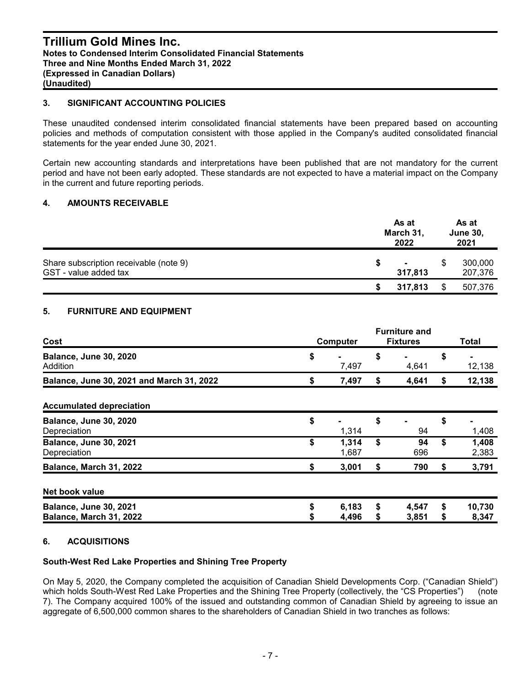## **Trillium Gold Mines Inc. Notes to Condensed Interim Consolidated Financial Statements Three and Nine Months Ended March 31, 2022 (Expressed in Canadian Dollars) (Unaudited)**

## **3. SIGNIFICANT ACCOUNTING POLICIES**

These unaudited condensed interim consolidated financial statements have been prepared based on accounting policies and methods of computation consistent with those applied in the Company's audited consolidated financial statements for the year ended June 30, 2021.

Certain new accounting standards and interpretations have been published that are not mandatory for the current period and have not been early adopted. These standards are not expected to have a material impact on the Company in the current and future reporting periods.

#### **4. AMOUNTS RECEIVABLE**

|                                                                 | As at<br>March 31,<br>2022 |     |                    |
|-----------------------------------------------------------------|----------------------------|-----|--------------------|
| Share subscription receivable (note 9)<br>GST - value added tax | $\blacksquare$<br>317.813  |     | 300,000<br>207,376 |
|                                                                 | 317,813                    | \$. | 507,376            |

## **5. FURNITURE AND EQUIPMENT**

| Cost                                              | Computer |                | <b>Furniture and</b><br><b>Fixtures</b> |                | Total    |                 |
|---------------------------------------------------|----------|----------------|-----------------------------------------|----------------|----------|-----------------|
| <b>Balance, June 30, 2020</b><br>Addition         | \$       | 7,497          | \$                                      | 4,641          | \$       | 12,138          |
| Balance, June 30, 2021 and March 31, 2022         | \$       | 7,497          | S                                       | 4,641          | \$       | 12,138          |
| <b>Accumulated depreciation</b>                   |          |                |                                         |                |          |                 |
| <b>Balance, June 30, 2020</b><br>Depreciation     | \$       | 1,314          | \$                                      | 94             | \$       | 1,408           |
| <b>Balance, June 30, 2021</b><br>Depreciation     | \$       | 1,314<br>1,687 | \$                                      | 94<br>696      | \$       | 1,408<br>2,383  |
| Balance, March 31, 2022                           | \$       | 3,001          | \$                                      | 790            | \$       | 3,791           |
| Net book value                                    |          |                |                                         |                |          |                 |
| Balance, June 30, 2021<br>Balance, March 31, 2022 | \$       | 6,183<br>4,496 | \$                                      | 4,547<br>3,851 | \$<br>\$ | 10,730<br>8,347 |

## **6. ACQUISITIONS**

## **South-West Red Lake Properties and Shining Tree Property**

On May 5, 2020, the Company completed the acquisition of Canadian Shield Developments Corp. ("Canadian Shield") which holds South-West Red Lake Properties and the Shining Tree Property (collectively, the "CS Properties") (note 7). The Company acquired 100% of the issued and outstanding common of Canadian Shield by agreeing to issue an aggregate of 6,500,000 common shares to the shareholders of Canadian Shield in two tranches as follows: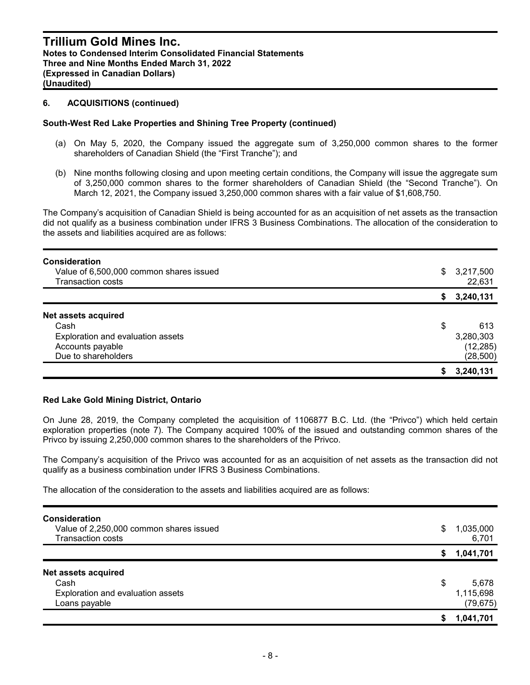## **6. ACQUISITIONS (continued)**

#### **South-West Red Lake Properties and Shining Tree Property (continued)**

- (a) On May 5, 2020, the Company issued the aggregate sum of 3,250,000 common shares to the former shareholders of Canadian Shield (the "First Tranche"); and
- (b) Nine months following closing and upon meeting certain conditions, the Company will issue the aggregate sum of 3,250,000 common shares to the former shareholders of Canadian Shield (the "Second Tranche"). On March 12, 2021, the Company issued 3,250,000 common shares with a fair value of \$1,608,750.

The Company's acquisition of Canadian Shield is being accounted for as an acquisition of net assets as the transaction did not qualify as a business combination under IFRS 3 Business Combinations. The allocation of the consideration to the assets and liabilities acquired are as follows:

| <b>Consideration</b><br>Value of 6,500,000 common shares issued<br>Transaction costs |    | \$3,217,500<br>22,631 |
|--------------------------------------------------------------------------------------|----|-----------------------|
|                                                                                      | S. | 3,240,131             |
| Net assets acquired                                                                  |    |                       |
| Cash                                                                                 | \$ | 613                   |
| Exploration and evaluation assets                                                    |    | 3,280,303             |
| Accounts payable                                                                     |    | (12, 285)             |
| Due to shareholders                                                                  |    | (28, 500)             |
|                                                                                      |    | 3,240,131             |

#### **Red Lake Gold Mining District, Ontario**

On June 28, 2019, the Company completed the acquisition of 1106877 B.C. Ltd. (the "Privco") which held certain exploration properties (note 7). The Company acquired 100% of the issued and outstanding common shares of the Privco by issuing 2,250,000 common shares to the shareholders of the Privco.

The Company's acquisition of the Privco was accounted for as an acquisition of net assets as the transaction did not qualify as a business combination under IFRS 3 Business Combinations.

The allocation of the consideration to the assets and liabilities acquired are as follows:

| <b>Consideration</b><br>Value of 2,250,000 common shares issued<br><b>Transaction costs</b> | S  | 1,035,000<br>6,701 |
|---------------------------------------------------------------------------------------------|----|--------------------|
|                                                                                             | S  | 1,041,701          |
| Net assets acquired                                                                         |    |                    |
| Cash                                                                                        | \$ | 5,678              |
| Exploration and evaluation assets                                                           |    | 1,115,698          |
| Loans payable                                                                               |    | (79, 675)          |
|                                                                                             |    | 1,041,701          |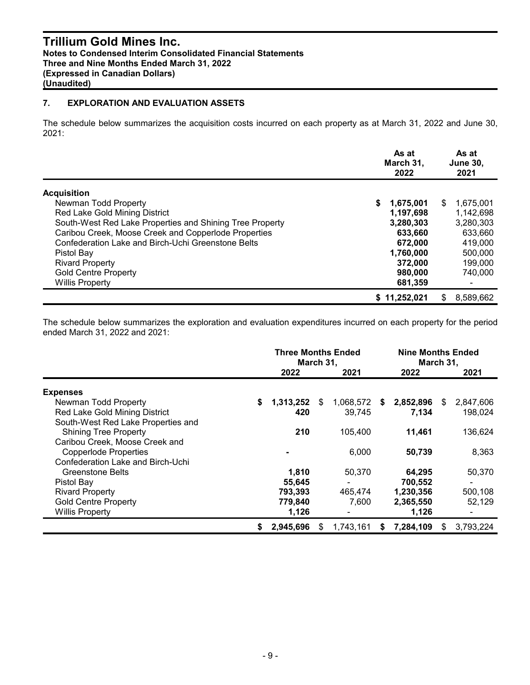## **Trillium Gold Mines Inc. Notes to Condensed Interim Consolidated Financial Statements Three and Nine Months Ended March 31, 2022 (Expressed in Canadian Dollars) (Unaudited)**

## **7. EXPLORATION AND EVALUATION ASSETS**

The schedule below summarizes the acquisition costs incurred on each property as at March 31, 2022 and June 30, 2021:

|                                                          |    | As at<br>March 31,<br>2022 |     | As at<br><b>June 30,</b><br>2021 |
|----------------------------------------------------------|----|----------------------------|-----|----------------------------------|
| <b>Acquisition</b>                                       |    |                            |     |                                  |
| Newman Todd Property                                     | S. | 1,675,001                  | \$. | 1,675,001                        |
| Red Lake Gold Mining District                            |    | 1,197,698                  |     | 1,142,698                        |
| South-West Red Lake Properties and Shining Tree Property |    | 3,280,303                  |     | 3,280,303                        |
| Caribou Creek, Moose Creek and Copperlode Properties     |    | 633,660                    |     | 633,660                          |
| Confederation Lake and Birch-Uchi Greenstone Belts       |    | 672,000                    |     | 419,000                          |
| Pistol Bay                                               |    | 1,760,000                  |     | 500,000                          |
| <b>Rivard Property</b>                                   |    | 372,000                    |     | 199,000                          |
| <b>Gold Centre Property</b>                              |    | 980,000                    |     | 740,000                          |
| <b>Willis Property</b>                                   |    | 681,359                    |     |                                  |
|                                                          |    | \$11,252,021               | S.  | 8.589.662                        |

The schedule below summarizes the exploration and evaluation expenditures incurred on each property for the period ended March 31, 2022 and 2021:

|                                    |    | <b>Three Months Ended</b><br>March 31, |     |           |    | <b>Nine Months Ended</b><br>March 31, |     |                |  |
|------------------------------------|----|----------------------------------------|-----|-----------|----|---------------------------------------|-----|----------------|--|
|                                    |    | 2022                                   |     | 2021      |    | 2022                                  |     | 2021           |  |
| <b>Expenses</b>                    |    |                                        |     |           |    |                                       |     |                |  |
| Newman Todd Property               | \$ | 1,313,252                              | \$. | 1,068,572 | S  | 2,852,896                             | \$. | 2,847,606      |  |
| Red Lake Gold Mining District      |    | 420                                    |     | 39.745    |    | 7,134                                 |     | 198,024        |  |
| South-West Red Lake Properties and |    |                                        |     |           |    |                                       |     |                |  |
| <b>Shining Tree Property</b>       |    | 210                                    |     | 105,400   |    | 11,461                                |     | 136,624        |  |
| Caribou Creek, Moose Creek and     |    |                                        |     |           |    |                                       |     |                |  |
| <b>Copperlode Properties</b>       |    |                                        |     | 6,000     |    | 50,739                                |     | 8,363          |  |
| Confederation Lake and Birch-Uchi  |    |                                        |     |           |    |                                       |     |                |  |
| <b>Greenstone Belts</b>            |    | 1,810                                  |     | 50,370    |    | 64,295                                |     | 50,370         |  |
| Pistol Bay                         |    | 55,645                                 |     |           |    | 700,552                               |     | $\blacksquare$ |  |
| <b>Rivard Property</b>             |    | 793,393                                |     | 465,474   |    | 1,230,356                             |     | 500,108        |  |
| <b>Gold Centre Property</b>        |    | 779,840                                |     | 7,600     |    | 2,365,550                             |     | 52,129         |  |
| <b>Willis Property</b>             |    | 1,126                                  |     |           |    | 1,126                                 |     | ٠              |  |
|                                    | S  | 2,945,696                              |     | 1,743,161 | S. | 7,284,109                             | SS. | 3,793,224      |  |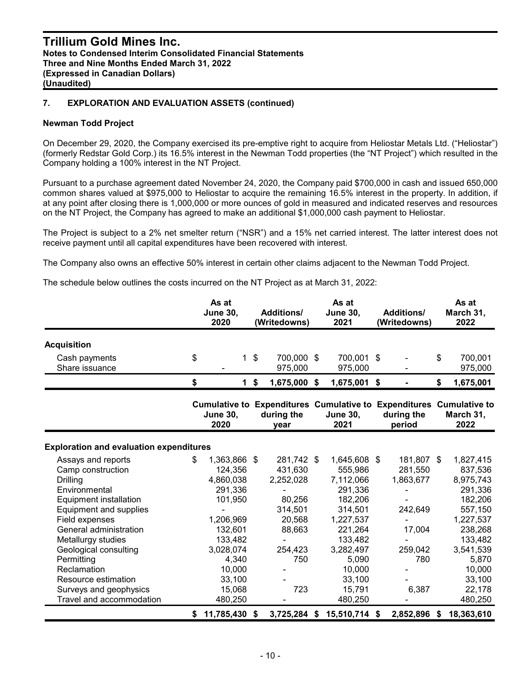#### **Newman Todd Project**

On December 29, 2020, the Company exercised its pre-emptive right to acquire from Heliostar Metals Ltd. ("Heliostar") (formerly Redstar Gold Corp.) its 16.5% interest in the Newman Todd properties (the "NT Project") which resulted in the Company holding a 100% interest in the NT Project.

Pursuant to a purchase agreement dated November 24, 2020, the Company paid \$700,000 in cash and issued 650,000 common shares valued at \$975,000 to Heliostar to acquire the remaining 16.5% interest in the property. In addition, if at any point after closing there is 1,000,000 or more ounces of gold in measured and indicated reserves and resources on the NT Project, the Company has agreed to make an additional \$1,000,000 cash payment to Heliostar.

The Project is subject to a 2% net smelter return ("NSR") and a 15% net carried interest. The latter interest does not receive payment until all capital expenditures have been recovered with interest.

The Company also owns an effective 50% interest in certain other claims adjacent to the Newman Todd Project.

The schedule below outlines the costs incurred on the NT Project as at March 31, 2022:

|                                                                                                                                                                                                                                                                                                                                             | As at<br><b>June 30,</b><br>2020                                                                                                                                   |                           | <b>Additions/</b><br>(Writedowns)                                                                    | As at<br><b>June 30,</b><br>2021                                                                                                                                        | <b>Additions/</b><br>(Writedowns)                                                  | As at<br>March 31,<br>2022                                                                                                                                           |
|---------------------------------------------------------------------------------------------------------------------------------------------------------------------------------------------------------------------------------------------------------------------------------------------------------------------------------------------|--------------------------------------------------------------------------------------------------------------------------------------------------------------------|---------------------------|------------------------------------------------------------------------------------------------------|-------------------------------------------------------------------------------------------------------------------------------------------------------------------------|------------------------------------------------------------------------------------|----------------------------------------------------------------------------------------------------------------------------------------------------------------------|
| <b>Acquisition</b>                                                                                                                                                                                                                                                                                                                          |                                                                                                                                                                    |                           |                                                                                                      |                                                                                                                                                                         |                                                                                    |                                                                                                                                                                      |
| Cash payments<br>Share issuance                                                                                                                                                                                                                                                                                                             | \$<br>1                                                                                                                                                            | $\boldsymbol{\mathsf{s}}$ | 700,000 \$<br>975,000                                                                                | 700,001 \$<br>975,000                                                                                                                                                   |                                                                                    | \$<br>700,001<br>975,000                                                                                                                                             |
|                                                                                                                                                                                                                                                                                                                                             | \$<br>$\mathbf 1$                                                                                                                                                  | \$                        | 1,675,000                                                                                            | \$<br>1,675,001                                                                                                                                                         | \$                                                                                 | \$<br>1,675,001                                                                                                                                                      |
|                                                                                                                                                                                                                                                                                                                                             | <b>June 30,</b><br>2020                                                                                                                                            |                           | Cumulative to Expenditures Cumulative to Expenditures Cumulative to<br>during the<br>year            | <b>June 30,</b><br>2021                                                                                                                                                 | during the<br>period                                                               | March 31,<br>2022                                                                                                                                                    |
| <b>Exploration and evaluation expenditures</b>                                                                                                                                                                                                                                                                                              |                                                                                                                                                                    |                           |                                                                                                      |                                                                                                                                                                         |                                                                                    |                                                                                                                                                                      |
| Assays and reports<br>Camp construction<br><b>Drilling</b><br>Environmental<br><b>Equipment installation</b><br>Equipment and supplies<br>Field expenses<br>General administration<br>Metallurgy studies<br>Geological consulting<br>Permitting<br>Reclamation<br>Resource estimation<br>Surveys and geophysics<br>Travel and accommodation | \$<br>1,363,866 \$<br>124,356<br>4,860,038<br>291,336<br>101,950<br>1,206,969<br>132,601<br>133,482<br>3,028,074<br>4,340<br>10,000<br>33,100<br>15,068<br>480,250 |                           | 281,742 \$<br>431,630<br>2,252,028<br>80,256<br>314,501<br>20,568<br>88,663<br>254,423<br>750<br>723 | 1,645,608 \$<br>555,986<br>7,112,066<br>291,336<br>182,206<br>314,501<br>1,227,537<br>221,264<br>133,482<br>3,282,497<br>5,090<br>10,000<br>33,100<br>15,791<br>480,250 | 181,807 \$<br>281,550<br>1,863,677<br>242,649<br>17,004<br>259,042<br>780<br>6,387 | 1,827,415<br>837,536<br>8,975,743<br>291,336<br>182,206<br>557,150<br>1,227,537<br>238,268<br>133,482<br>3,541,539<br>5,870<br>10,000<br>33,100<br>22,178<br>480,250 |
|                                                                                                                                                                                                                                                                                                                                             | \$<br>11,785,430                                                                                                                                                   | \$                        | 3,725,284 \$                                                                                         | 15,510,714 \$                                                                                                                                                           | 2,852,896                                                                          | \$<br>18,363,610                                                                                                                                                     |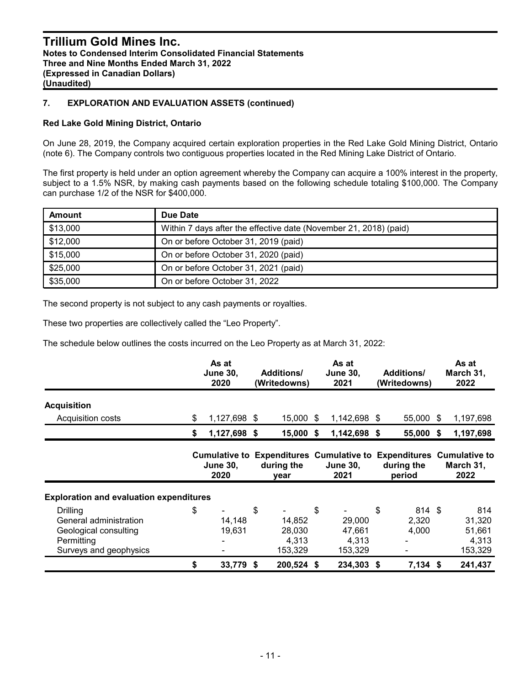#### **Red Lake Gold Mining District, Ontario**

On June 28, 2019, the Company acquired certain exploration properties in the Red Lake Gold Mining District, Ontario (note 6). The Company controls two contiguous properties located in the Red Mining Lake District of Ontario.

The first property is held under an option agreement whereby the Company can acquire a 100% interest in the property, subject to a 1.5% NSR, by making cash payments based on the following schedule totaling \$100,000. The Company can purchase 1/2 of the NSR for \$400,000.

| Amount   | Due Date                                                          |
|----------|-------------------------------------------------------------------|
| \$13,000 | Within 7 days after the effective date (November 21, 2018) (paid) |
| \$12,000 | On or before October 31, 2019 (paid)                              |
| \$15,000 | On or before October 31, 2020 (paid)                              |
| \$25,000 | On or before October 31, 2021 (paid)                              |
| \$35,000 | On or before October 31, 2022                                     |

The second property is not subject to any cash payments or royalties.

These two properties are collectively called the "Leo Property".

The schedule below outlines the costs incurred on the Leo Property as at March 31, 2022:

|                                                                                                            | As at<br><b>June 30,</b><br>2020 |    | <b>Additions/</b><br>(Writedowns)    | As at<br><b>June 30,</b><br>2021                                                               | <b>Additions/</b><br>(Writedowns) |      | As at<br>March 31,<br>2022                  |
|------------------------------------------------------------------------------------------------------------|----------------------------------|----|--------------------------------------|------------------------------------------------------------------------------------------------|-----------------------------------|------|---------------------------------------------|
| <b>Acquisition</b>                                                                                         |                                  |    |                                      |                                                                                                |                                   |      |                                             |
| Acquisition costs                                                                                          | \$<br>1,127,698 \$               |    | 15,000 \$                            | 1,142,698 \$                                                                                   | 55,000                            | - \$ | 1,197,698                                   |
|                                                                                                            | \$<br>1,127,698 \$               |    | $15,000$ \$                          | 1,142,698 \$                                                                                   | 55,000                            | -S   | 1,197,698                                   |
|                                                                                                            | <b>June 30,</b><br>2020          |    | during the<br>year                   | Cumulative to Expenditures Cumulative to Expenditures Cumulative to<br><b>June 30,</b><br>2021 | during the<br>period              |      | March 31,<br>2022                           |
| <b>Exploration and evaluation expenditures</b>                                                             |                                  |    |                                      |                                                                                                |                                   |      |                                             |
| <b>Drilling</b><br>General administration<br>Geological consulting<br>Permitting<br>Surveys and geophysics | \$<br>14,148<br>19,631           | \$ | 14,852<br>28,030<br>4,313<br>153,329 | \$<br>29,000<br>47,661<br>4,313<br>153,329                                                     | \$<br>814 \$<br>2,320<br>4,000    |      | 814<br>31,320<br>51,661<br>4,313<br>153,329 |
|                                                                                                            | \$<br>33,779                     | S. | 200,524                              | \$<br>234,303                                                                                  | \$<br>$7,134$ \$                  |      | 241,437                                     |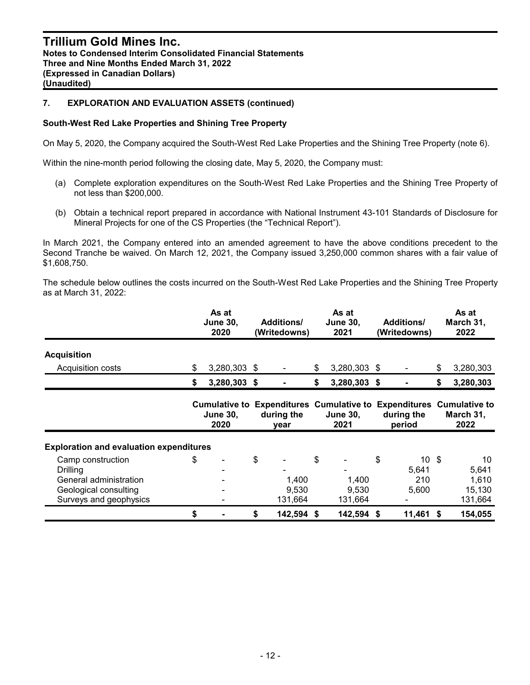#### **South-West Red Lake Properties and Shining Tree Property**

On May 5, 2020, the Company acquired the South-West Red Lake Properties and the Shining Tree Property (note 6).

Within the nine-month period following the closing date, May 5, 2020, the Company must:

- (a) Complete exploration expenditures on the South-West Red Lake Properties and the Shining Tree Property of not less than \$200,000.
- (b) Obtain a technical report prepared in accordance with National Instrument 43-101 Standards of Disclosure for Mineral Projects for one of the CS Properties (the "Technical Report").

In March 2021, the Company entered into an amended agreement to have the above conditions precedent to the Second Tranche be waived. On March 12, 2021, the Company issued 3,250,000 common shares with a fair value of \$1,608,750.

The schedule below outlines the costs incurred on the South-West Red Lake Properties and the Shining Tree Property as at March 31, 2022:

|                                                                                                            | As at<br><b>June 30,</b><br>2020                | <b>Additions/</b><br>(Writedowns) | As at<br><b>June 30,</b><br>2021                                                        |    | <b>Additions/</b><br>(Writedowns)         | As at<br>March 31,<br>2022                |
|------------------------------------------------------------------------------------------------------------|-------------------------------------------------|-----------------------------------|-----------------------------------------------------------------------------------------|----|-------------------------------------------|-------------------------------------------|
| <b>Acquisition</b>                                                                                         |                                                 |                                   |                                                                                         |    |                                           |                                           |
| Acquisition costs                                                                                          | \$<br>3,280,303 \$                              |                                   | \$<br>3,280,303 \$                                                                      |    |                                           | \$<br>3,280,303                           |
|                                                                                                            | \$<br>3,280,303 \$                              |                                   | \$<br>3,280,303 \$                                                                      |    |                                           | \$<br>3,280,303                           |
|                                                                                                            | <b>Cumulative to</b><br><b>June 30,</b><br>2020 | during the<br>year                | <b>Expenditures Cumulative to Expenditures Cumulative to</b><br><b>June 30,</b><br>2021 |    | during the<br>period                      | March 31,<br>2022                         |
| <b>Exploration and evaluation expenditures</b>                                                             |                                                 |                                   |                                                                                         |    |                                           |                                           |
| Camp construction<br>Drilling<br>General administration<br>Geological consulting<br>Surveys and geophysics | \$                                              | \$<br>1,400<br>9,530<br>131,664   | \$<br>1,400<br>9,530<br>131,664                                                         | \$ | $10 \text{ }$ \$<br>5.641<br>210<br>5,600 | 10<br>5,641<br>1,610<br>15,130<br>131,664 |
|                                                                                                            | \$                                              | \$<br>142,594 \$                  | 142,594                                                                                 | S  | 11,461                                    | \$<br>154,055                             |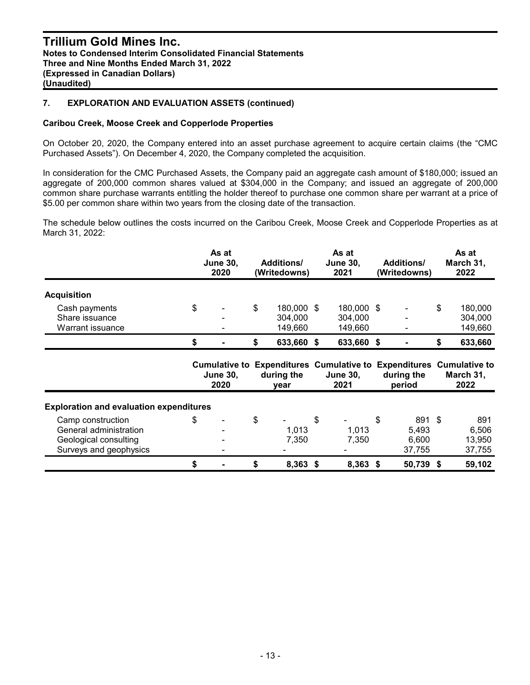#### **Caribou Creek, Moose Creek and Copperlode Properties**

On October 20, 2020, the Company entered into an asset purchase agreement to acquire certain claims (the "CMC Purchased Assets"). On December 4, 2020, the Company completed the acquisition.

In consideration for the CMC Purchased Assets, the Company paid an aggregate cash amount of \$180,000; issued an aggregate of 200,000 common shares valued at \$304,000 in the Company; and issued an aggregate of 200,000 common share purchase warrants entitling the holder thereof to purchase one common share per warrant at a price of \$5.00 per common share within two years from the closing date of the transaction.

The schedule below outlines the costs incurred on the Caribou Creek, Moose Creek and Copperlode Properties as at March 31, 2022:

|                                                                                                | As at<br><b>June 30,</b><br>2020 | <b>Additions/</b><br>(Writedowns)      | As at<br><b>June 30,</b><br>2021 | <b>Additions/</b><br>(Writedowns)        |    | As at<br>March 31,<br>2022                                                               |
|------------------------------------------------------------------------------------------------|----------------------------------|----------------------------------------|----------------------------------|------------------------------------------|----|------------------------------------------------------------------------------------------|
| <b>Acquisition</b>                                                                             |                                  |                                        |                                  |                                          |    |                                                                                          |
| Cash payments<br>Share issuance<br>Warrant issuance                                            | \$                               | \$<br>180,000 \$<br>304,000<br>149,660 | 180,000 \$<br>304,000<br>149,660 |                                          | \$ | 180,000<br>304,000<br>149,660                                                            |
|                                                                                                | \$                               | \$<br>633,660 \$                       | 633,660 \$                       |                                          | S  | 633,660                                                                                  |
|                                                                                                | <b>June 30,</b><br>2020          | during the<br>year                     | <b>June 30,</b><br>2021          | during the<br>period                     |    | Cumulative to Expenditures Cumulative to Expenditures Cumulative to<br>March 31,<br>2022 |
| <b>Exploration and evaluation expenditures</b>                                                 |                                  |                                        |                                  |                                          |    |                                                                                          |
| Camp construction<br>General administration<br>Geological consulting<br>Surveys and geophysics | \$                               | \$<br>1,013<br>7,350                   | \$<br>1,013<br>7,350             | \$<br>891 \$<br>5,493<br>6,600<br>37,755 |    | 891<br>6,506<br>13,950<br>37,755                                                         |
|                                                                                                | \$                               | \$<br>8,363 \$                         | 8,363 \$                         | 50,739 \$                                |    | 59,102                                                                                   |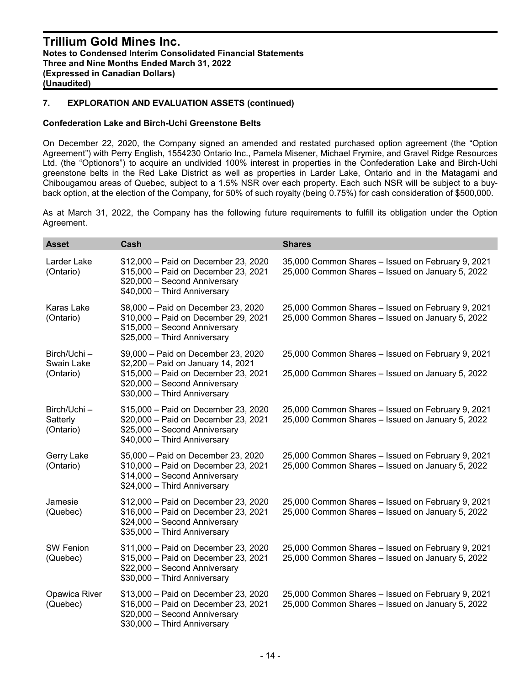#### **Confederation Lake and Birch-Uchi Greenstone Belts**

On December 22, 2020, the Company signed an amended and restated purchased option agreement (the "Option Agreement") with Perry English, 1554230 Ontario Inc., Pamela Misener, Michael Frymire, and Gravel Ridge Resources Ltd. (the "Optionors") to acquire an undivided 100% interest in properties in the Confederation Lake and Birch-Uchi greenstone belts in the Red Lake District as well as properties in Larder Lake, Ontario and in the Matagami and Chibougamou areas of Quebec, subject to a 1.5% NSR over each property. Each such NSR will be subject to a buyback option, at the election of the Company, for 50% of such royalty (being 0.75%) for cash consideration of \$500,000.

As at March 31, 2022, the Company has the following future requirements to fulfill its obligation under the Option Agreement.

| <b>Asset</b>                            | Cash                                                                                                                                                                               | <b>Shares</b>                                                                                         |
|-----------------------------------------|------------------------------------------------------------------------------------------------------------------------------------------------------------------------------------|-------------------------------------------------------------------------------------------------------|
| Larder Lake<br>(Ontario)                | \$12,000 - Paid on December 23, 2020<br>\$15,000 - Paid on December 23, 2021<br>\$20,000 - Second Anniversary<br>\$40,000 - Third Anniversary                                      | 35,000 Common Shares - Issued on February 9, 2021<br>25,000 Common Shares - Issued on January 5, 2022 |
| <b>Karas Lake</b><br>(Ontario)          | \$8,000 - Paid on December 23, 2020<br>\$10,000 - Paid on December 29, 2021<br>\$15,000 - Second Anniversary<br>\$25,000 - Third Anniversary                                       | 25,000 Common Shares - Issued on February 9, 2021<br>25,000 Common Shares - Issued on January 5, 2022 |
| Birch/Uchi -<br>Swain Lake<br>(Ontario) | \$9,000 - Paid on December 23, 2020<br>\$2,200 - Paid on January 14, 2021<br>\$15,000 - Paid on December 23, 2021<br>\$20,000 - Second Anniversary<br>\$30,000 - Third Anniversary | 25,000 Common Shares - Issued on February 9, 2021<br>25,000 Common Shares - Issued on January 5, 2022 |
| Birch/Uchi-<br>Satterly<br>(Ontario)    | \$15,000 - Paid on December 23, 2020<br>\$20,000 - Paid on December 23, 2021<br>\$25,000 - Second Anniversary<br>\$40,000 - Third Anniversary                                      | 25,000 Common Shares - Issued on February 9, 2021<br>25,000 Common Shares - Issued on January 5, 2022 |
| Gerry Lake<br>(Ontario)                 | \$5,000 - Paid on December 23, 2020<br>\$10,000 - Paid on December 23, 2021<br>\$14,000 - Second Anniversary<br>\$24,000 - Third Anniversary                                       | 25,000 Common Shares - Issued on February 9, 2021<br>25,000 Common Shares - Issued on January 5, 2022 |
| Jamesie<br>(Quebec)                     | \$12,000 - Paid on December 23, 2020<br>\$16,000 - Paid on December 23, 2021<br>\$24,000 - Second Anniversary<br>\$35,000 - Third Anniversary                                      | 25,000 Common Shares - Issued on February 9, 2021<br>25,000 Common Shares - Issued on January 5, 2022 |
| <b>SW Fenion</b><br>(Quebec)            | \$11,000 - Paid on December 23, 2020<br>\$15,000 - Paid on December 23, 2021<br>\$22,000 - Second Anniversary<br>\$30,000 - Third Anniversary                                      | 25,000 Common Shares - Issued on February 9, 2021<br>25,000 Common Shares - Issued on January 5, 2022 |
| Opawica River<br>(Quebec)               | \$13,000 - Paid on December 23, 2020<br>\$16,000 - Paid on December 23, 2021<br>\$20,000 - Second Anniversary<br>\$30,000 - Third Anniversary                                      | 25,000 Common Shares - Issued on February 9, 2021<br>25,000 Common Shares - Issued on January 5, 2022 |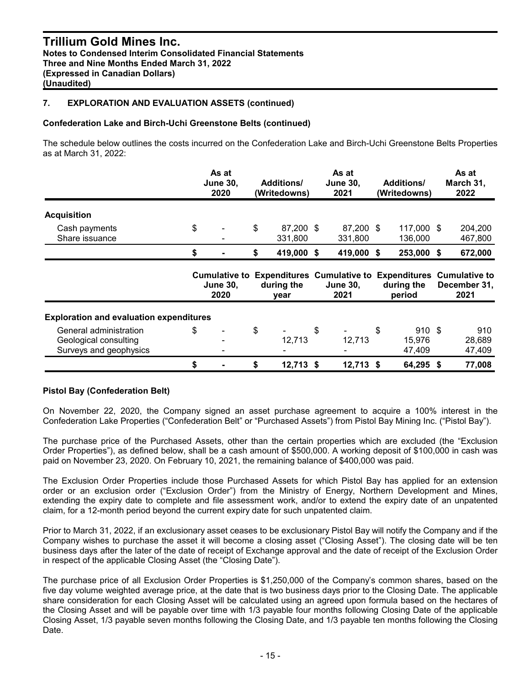#### **Confederation Lake and Birch-Uchi Greenstone Belts (continued)**

The schedule below outlines the costs incurred on the Confederation Lake and Birch-Uchi Greenstone Belts Properties as at March 31, 2022:

|                                                                           | As at<br><b>June 30,</b><br>2020 | <b>Additions/</b><br>(Writedowns) | As at<br><b>June 30,</b><br>2021 | <b>Additions/</b><br>(Writedowns) | As at<br>March 31,<br>2022                                                                  |
|---------------------------------------------------------------------------|----------------------------------|-----------------------------------|----------------------------------|-----------------------------------|---------------------------------------------------------------------------------------------|
| <b>Acquisition</b>                                                        |                                  |                                   |                                  |                                   |                                                                                             |
| Cash payments<br>Share issuance                                           | \$                               | \$<br>87,200 \$<br>331,800        | 87,200 \$<br>331,800             | 117,000 \$<br>136,000             | 204,200<br>467,800                                                                          |
|                                                                           | \$                               | \$<br>419,000                     | \$<br>419,000                    | \$<br>253,000                     | \$<br>672,000                                                                               |
|                                                                           | <b>June 30.</b><br>2020          | during the<br>year                | <b>June 30,</b><br>2021          | during the<br>period              | Cumulative to Expenditures Cumulative to Expenditures Cumulative to<br>December 31,<br>2021 |
| <b>Exploration and evaluation expenditures</b>                            |                                  |                                   |                                  |                                   |                                                                                             |
| General administration<br>Geological consulting<br>Surveys and geophysics | \$                               | \$<br>12,713                      | \$<br>12,713                     | \$<br>910S<br>15,976<br>47,409    | 910<br>28,689<br>47,409                                                                     |
|                                                                           |                                  |                                   |                                  |                                   |                                                                                             |

#### **Pistol Bay (Confederation Belt)**

On November 22, 2020, the Company signed an asset purchase agreement to acquire a 100% interest in the Confederation Lake Properties ("Confederation Belt" or "Purchased Assets") from Pistol Bay Mining Inc. ("Pistol Bay").

The purchase price of the Purchased Assets, other than the certain properties which are excluded (the "Exclusion Order Properties"), as defined below, shall be a cash amount of \$500,000. A working deposit of \$100,000 in cash was paid on November 23, 2020. On February 10, 2021, the remaining balance of \$400,000 was paid.

The Exclusion Order Properties include those Purchased Assets for which Pistol Bay has applied for an extension order or an exclusion order ("Exclusion Order") from the Ministry of Energy, Northern Development and Mines, extending the expiry date to complete and file assessment work, and/or to extend the expiry date of an unpatented claim, for a 12-month period beyond the current expiry date for such unpatented claim.

Prior to March 31, 2022, if an exclusionary asset ceases to be exclusionary Pistol Bay will notify the Company and if the Company wishes to purchase the asset it will become a closing asset ("Closing Asset"). The closing date will be ten business days after the later of the date of receipt of Exchange approval and the date of receipt of the Exclusion Order in respect of the applicable Closing Asset (the "Closing Date").

The purchase price of all Exclusion Order Properties is \$1,250,000 of the Company's common shares, based on the five day volume weighted average price, at the date that is two business days prior to the Closing Date. The applicable share consideration for each Closing Asset will be calculated using an agreed upon formula based on the hectares of the Closing Asset and will be payable over time with 1/3 payable four months following Closing Date of the applicable Closing Asset, 1/3 payable seven months following the Closing Date, and 1/3 payable ten months following the Closing Date.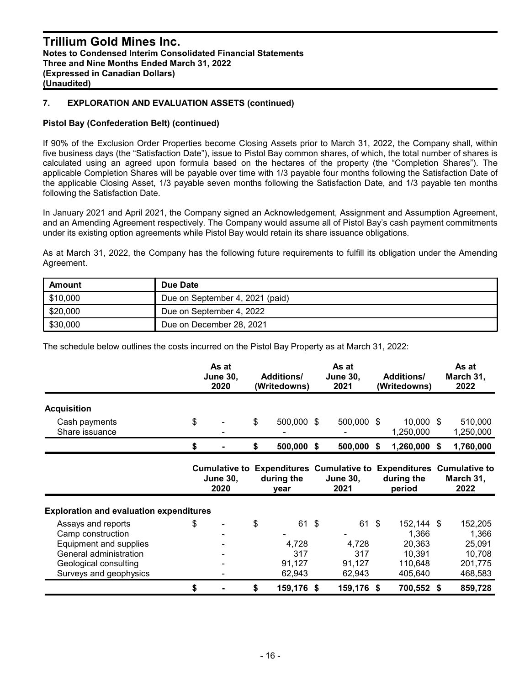#### **Pistol Bay (Confederation Belt) (continued)**

If 90% of the Exclusion Order Properties become Closing Assets prior to March 31, 2022, the Company shall, within five business days (the "Satisfaction Date"), issue to Pistol Bay common shares, of which, the total number of shares is calculated using an agreed upon formula based on the hectares of the property (the "Completion Shares"). The applicable Completion Shares will be payable over time with 1/3 payable four months following the Satisfaction Date of the applicable Closing Asset, 1/3 payable seven months following the Satisfaction Date, and 1/3 payable ten months following the Satisfaction Date.

In January 2021 and April 2021, the Company signed an Acknowledgement, Assignment and Assumption Agreement, and an Amending Agreement respectively. The Company would assume all of Pistol Bay's cash payment commitments under its existing option agreements while Pistol Bay would retain its share issuance obligations.

As at March 31, 2022, the Company has the following future requirements to fulfill its obligation under the Amending Agreement.

| Amount   | Due Date                        |
|----------|---------------------------------|
| \$10,000 | Due on September 4, 2021 (paid) |
| \$20,000 | Due on September 4, 2022        |
| \$30,000 | Due on December 28, 2021        |

The schedule below outlines the costs incurred on the Pistol Bay Property as at March 31, 2022:

|                                                                                                                                                | As at<br><b>June 30,</b><br>2020 |                         | <b>Additions/</b><br>(Writedowns)               | As at<br><b>June 30,</b><br>2021 |                                                                                                | <b>Additions/</b><br>(Writedowns) |                                                               |    | As at<br>March 31,<br>2022                                 |  |
|------------------------------------------------------------------------------------------------------------------------------------------------|----------------------------------|-------------------------|-------------------------------------------------|----------------------------------|------------------------------------------------------------------------------------------------|-----------------------------------|---------------------------------------------------------------|----|------------------------------------------------------------|--|
| <b>Acquisition</b>                                                                                                                             |                                  |                         |                                                 |                                  |                                                                                                |                                   |                                                               |    |                                                            |  |
| Cash payments<br>Share issuance                                                                                                                | \$                               |                         | \$<br>500,000 \$                                |                                  | 500,000 \$                                                                                     |                                   | 10,000 \$<br>1,250,000                                        |    | 510,000<br>1,250,000                                       |  |
|                                                                                                                                                | \$                               |                         | \$<br>500,000                                   | \$                               | 500,000                                                                                        | S.                                | 1,260,000                                                     | -S | 1,760,000                                                  |  |
|                                                                                                                                                |                                  | <b>June 30,</b><br>2020 | during the<br>year                              |                                  | Cumulative to Expenditures Cumulative to Expenditures Cumulative to<br><b>June 30,</b><br>2021 |                                   | during the<br>period                                          |    | March 31,<br>2022                                          |  |
| <b>Exploration and evaluation expenditures</b>                                                                                                 |                                  |                         |                                                 |                                  |                                                                                                |                                   |                                                               |    |                                                            |  |
| Assays and reports<br>Camp construction<br>Equipment and supplies<br>General administration<br>Geological consulting<br>Surveys and geophysics | \$                               |                         | \$<br>61 \$<br>4,728<br>317<br>91,127<br>62,943 |                                  | 61 \$<br>4,728<br>317<br>91,127<br>62,943                                                      |                                   | 152,144 \$<br>1,366<br>20,363<br>10,391<br>110,648<br>405,640 |    | 152,205<br>1,366<br>25,091<br>10,708<br>201,775<br>468,583 |  |
|                                                                                                                                                | \$                               |                         | \$<br>159,176 \$                                |                                  | 159,176 \$                                                                                     |                                   | 700,552 \$                                                    |    | 859,728                                                    |  |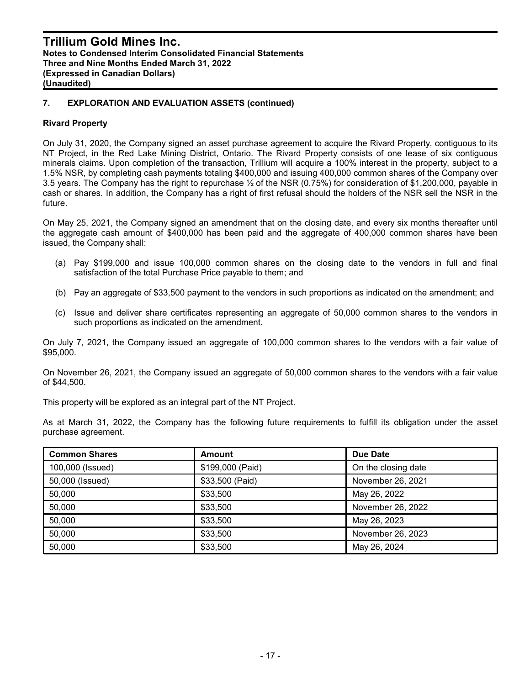#### **Rivard Property**

On July 31, 2020, the Company signed an asset purchase agreement to acquire the Rivard Property, contiguous to its NT Project, in the Red Lake Mining District, Ontario. The Rivard Property consists of one lease of six contiguous minerals claims. Upon completion of the transaction, Trillium will acquire a 100% interest in the property, subject to a 1.5% NSR, by completing cash payments totaling \$400,000 and issuing 400,000 common shares of the Company over 3.5 years. The Company has the right to repurchase ½ of the NSR (0.75%) for consideration of \$1,200,000, payable in cash or shares. In addition, the Company has a right of first refusal should the holders of the NSR sell the NSR in the future.

On May 25, 2021, the Company signed an amendment that on the closing date, and every six months thereafter until the aggregate cash amount of \$400,000 has been paid and the aggregate of 400,000 common shares have been issued, the Company shall:

- (a) Pay \$199,000 and issue 100,000 common shares on the closing date to the vendors in full and final satisfaction of the total Purchase Price payable to them; and
- (b) Pay an aggregate of \$33,500 payment to the vendors in such proportions as indicated on the amendment; and
- (c) Issue and deliver share certificates representing an aggregate of 50,000 common shares to the vendors in such proportions as indicated on the amendment.

On July 7, 2021, the Company issued an aggregate of 100,000 common shares to the vendors with a fair value of \$95,000.

On November 26, 2021, the Company issued an aggregate of 50,000 common shares to the vendors with a fair value of \$44,500.

This property will be explored as an integral part of the NT Project.

As at March 31, 2022, the Company has the following future requirements to fulfill its obligation under the asset purchase agreement.

| <b>Common Shares</b> | <b>Amount</b>    | Due Date            |
|----------------------|------------------|---------------------|
| 100,000 (Issued)     | \$199,000 (Paid) | On the closing date |
| 50,000 (Issued)      | \$33,500 (Paid)  | November 26, 2021   |
| 50,000               | \$33,500         | May 26, 2022        |
| 50,000               | \$33,500         | November 26, 2022   |
| 50,000               | \$33,500         | May 26, 2023        |
| 50,000               | \$33,500         | November 26, 2023   |
| 50,000               | \$33,500         | May 26, 2024        |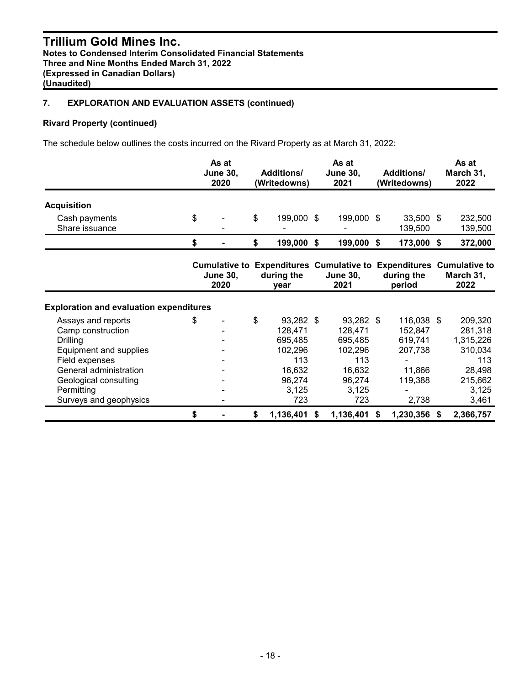## **Rivard Property (continued)**

The schedule below outlines the costs incurred on the Rivard Property as at March 31, 2022:

|                                                                                                                                                                                                   | As at<br><b>June 30,</b><br>2020 |                         | <b>Additions/</b><br>(Writedowns)                                                           | As at<br><b>June 30,</b><br>2021 |                                                                                                | <b>Additions/</b><br>(Writedowns) |                                                                           |    | As at<br>March 31,<br>2022                                                               |  |  |
|---------------------------------------------------------------------------------------------------------------------------------------------------------------------------------------------------|----------------------------------|-------------------------|---------------------------------------------------------------------------------------------|----------------------------------|------------------------------------------------------------------------------------------------|-----------------------------------|---------------------------------------------------------------------------|----|------------------------------------------------------------------------------------------|--|--|
| <b>Acquisition</b>                                                                                                                                                                                |                                  |                         |                                                                                             |                                  |                                                                                                |                                   |                                                                           |    |                                                                                          |  |  |
| Cash payments<br>Share issuance                                                                                                                                                                   | \$                               |                         | \$<br>199,000 \$                                                                            |                                  | 199,000 \$                                                                                     |                                   | 33,500 \$<br>139,500                                                      |    | 232,500<br>139,500                                                                       |  |  |
|                                                                                                                                                                                                   | \$                               |                         | \$<br>199,000                                                                               | \$                               | 199,000                                                                                        | \$                                | 173,000                                                                   | \$ | 372,000                                                                                  |  |  |
|                                                                                                                                                                                                   |                                  | <b>June 30,</b><br>2020 | during the<br>year                                                                          |                                  | Cumulative to Expenditures Cumulative to Expenditures Cumulative to<br><b>June 30,</b><br>2021 |                                   | during the<br>period                                                      |    | March 31,<br>2022                                                                        |  |  |
| <b>Exploration and evaluation expenditures</b>                                                                                                                                                    |                                  |                         |                                                                                             |                                  |                                                                                                |                                   |                                                                           |    |                                                                                          |  |  |
| Assays and reports<br>Camp construction<br><b>Drilling</b><br>Equipment and supplies<br>Field expenses<br>General administration<br>Geological consulting<br>Permitting<br>Surveys and geophysics | \$                               |                         | \$<br>93,282 \$<br>128,471<br>695,485<br>102,296<br>113<br>16,632<br>96,274<br>3,125<br>723 |                                  | 93,282 \$<br>128,471<br>695,485<br>102,296<br>113<br>16,632<br>96,274<br>3,125<br>723          |                                   | 116,038 \$<br>152,847<br>619,741<br>207,738<br>11,866<br>119,388<br>2,738 |    | 209,320<br>281,318<br>1,315,226<br>310,034<br>113<br>28,498<br>215,662<br>3,125<br>3,461 |  |  |
|                                                                                                                                                                                                   | \$                               |                         | \$<br>1,136,401                                                                             | \$                               | 1,136,401                                                                                      | S.                                | 1,230,356                                                                 | -S | 2,366,757                                                                                |  |  |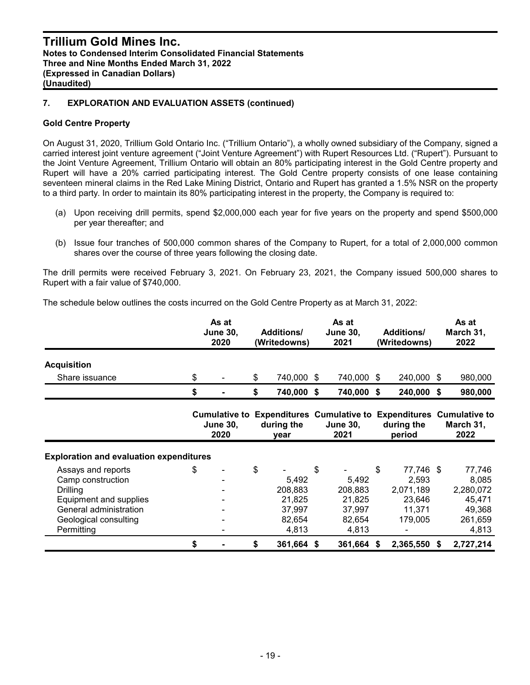#### **Gold Centre Property**

On August 31, 2020, Trillium Gold Ontario Inc. ("Trillium Ontario"), a wholly owned subsidiary of the Company, signed a carried interest joint venture agreement ("Joint Venture Agreement") with Rupert Resources Ltd. ("Rupert"). Pursuant to the Joint Venture Agreement, Trillium Ontario will obtain an 80% participating interest in the Gold Centre property and Rupert will have a 20% carried participating interest. The Gold Centre property consists of one lease containing seventeen mineral claims in the Red Lake Mining District, Ontario and Rupert has granted a 1.5% NSR on the property to a third party. In order to maintain its 80% participating interest in the property, the Company is required to:

- (a) Upon receiving drill permits, spend \$2,000,000 each year for five years on the property and spend \$500,000 per year thereafter; and
- (b) Issue four tranches of 500,000 common shares of the Company to Rupert, for a total of 2,000,000 common shares over the course of three years following the closing date.

The drill permits were received February 3, 2021. On February 23, 2021, the Company issued 500,000 shares to Rupert with a fair value of \$740,000.

The schedule below outlines the costs incurred on the Gold Centre Property as at March 31, 2022:

|                                                                                                                                                | As at<br><b>June 30,</b><br>2020 | <b>Additions/</b><br>(Writedowns) |                                                         | As at<br><b>June 30,</b><br>2021 |                                                                                                | <b>Additions/</b><br>(Writedowns) |                                                                |     | As at<br>March 31,<br>2022                                           |  |
|------------------------------------------------------------------------------------------------------------------------------------------------|----------------------------------|-----------------------------------|---------------------------------------------------------|----------------------------------|------------------------------------------------------------------------------------------------|-----------------------------------|----------------------------------------------------------------|-----|----------------------------------------------------------------------|--|
| <b>Acquisition</b>                                                                                                                             |                                  |                                   |                                                         |                                  |                                                                                                |                                   |                                                                |     |                                                                      |  |
| Share issuance                                                                                                                                 | \$                               | \$                                | 740,000                                                 | \$                               | 740,000                                                                                        | \$                                | 240,000                                                        | -S  | 980,000                                                              |  |
|                                                                                                                                                | \$                               | \$                                | 740,000 \$                                              |                                  | 740,000                                                                                        | \$                                | 240,000                                                        | -\$ | 980,000                                                              |  |
|                                                                                                                                                | <b>June 30,</b><br>2020          |                                   | during the<br>year                                      |                                  | Cumulative to Expenditures Cumulative to Expenditures Cumulative to<br><b>June 30,</b><br>2021 |                                   | during the<br>period                                           |     | March 31,<br>2022                                                    |  |
| <b>Exploration and evaluation expenditures</b>                                                                                                 |                                  |                                   |                                                         |                                  |                                                                                                |                                   |                                                                |     |                                                                      |  |
| Assays and reports<br>Camp construction<br>Drilling<br>Equipment and supplies<br>General administration<br>Geological consulting<br>Permitting | \$                               | \$                                | 5,492<br>208,883<br>21,825<br>37,997<br>82,654<br>4,813 | \$                               | 5,492<br>208,883<br>21,825<br>37,997<br>82,654<br>4,813                                        | \$                                | 77,746 \$<br>2,593<br>2,071,189<br>23,646<br>11,371<br>179,005 |     | 77,746<br>8,085<br>2,280,072<br>45,471<br>49,368<br>261,659<br>4,813 |  |
|                                                                                                                                                | \$                               | \$                                | 361,664                                                 | \$                               | 361,664                                                                                        | S                                 | 2,365,550                                                      | S.  | 2,727,214                                                            |  |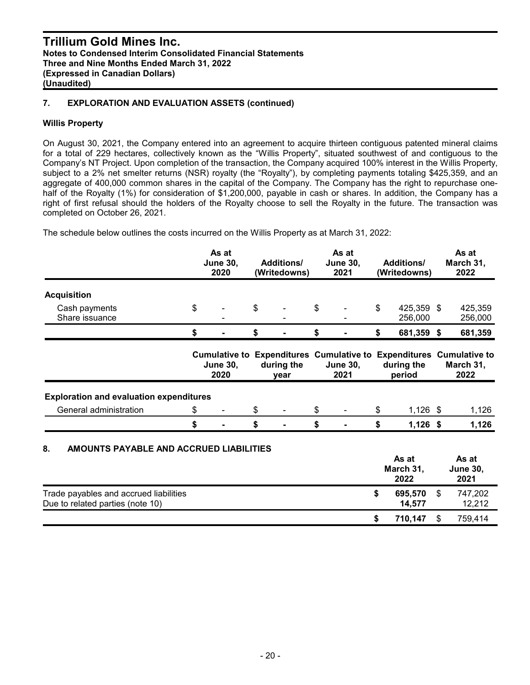#### **Willis Property**

On August 30, 2021, the Company entered into an agreement to acquire thirteen contiguous patented mineral claims for a total of 229 hectares, collectively known as the "Willis Property", situated southwest of and contiguous to the Company's NT Project. Upon completion of the transaction, the Company acquired 100% interest in the Willis Property, subject to a 2% net smelter returns (NSR) royalty (the "Royalty"), by completing payments totaling \$425,359, and an aggregate of 400,000 common shares in the capital of the Company. The Company has the right to repurchase onehalf of the Royalty (1%) for consideration of \$1,200,000, payable in cash or shares. In addition, the Company has a right of first refusal should the holders of the Royalty choose to sell the Royalty in the future. The transaction was completed on October 26, 2021.

The schedule below outlines the costs incurred on the Willis Property as at March 31, 2022:

|                                                |    |                         | As at<br><b>June 30,</b><br><b>Additions/</b><br>2020<br>(Writedowns) |                    |                           | As at<br><b>June 30,</b><br>2021 |    | <b>Additions/</b><br>(Writedowns) | As at<br>March 31,<br>2022                                                               |
|------------------------------------------------|----|-------------------------|-----------------------------------------------------------------------|--------------------|---------------------------|----------------------------------|----|-----------------------------------|------------------------------------------------------------------------------------------|
| <b>Acquisition</b>                             |    |                         |                                                                       |                    |                           |                                  |    |                                   |                                                                                          |
| Cash payments<br>Share issuance                | \$ |                         | \$                                                                    |                    | $\boldsymbol{\mathsf{s}}$ |                                  | \$ | 425,359 \$<br>256,000             | 425,359<br>256,000                                                                       |
|                                                | \$ |                         | \$                                                                    |                    | \$                        |                                  | \$ | 681,359 \$                        | 681,359                                                                                  |
|                                                |    | <b>June 30,</b><br>2020 |                                                                       | during the<br>year |                           | <b>June 30,</b><br>2021          |    | during the<br>period              | Cumulative to Expenditures Cumulative to Expenditures Cumulative to<br>March 31,<br>2022 |
| <b>Exploration and evaluation expenditures</b> |    |                         |                                                                       |                    |                           |                                  |    |                                   |                                                                                          |
| General administration                         | \$ |                         | \$                                                                    |                    | \$                        |                                  | \$ | $1,126$ \$                        | 1,126                                                                                    |
|                                                | \$ |                         | \$                                                                    |                    | \$                        |                                  | \$ | $1,126$ \$                        | 1,126                                                                                    |
| 8.<br>AMOUNTS PAYABLE AND ACCRUED LIABILITIES  |    |                         |                                                                       |                    |                           |                                  |    | As at                             | As at                                                                                    |

|                                        | AS al<br>March 31,<br>2022 | AS al<br><b>June 30,</b><br>2021 |
|----------------------------------------|----------------------------|----------------------------------|
| Trade payables and accrued liabilities | 695.570                    | 747,202                          |
| Due to related parties (note 10)       | 14.577                     | 12,212                           |
|                                        | 710.147                    | 759.414                          |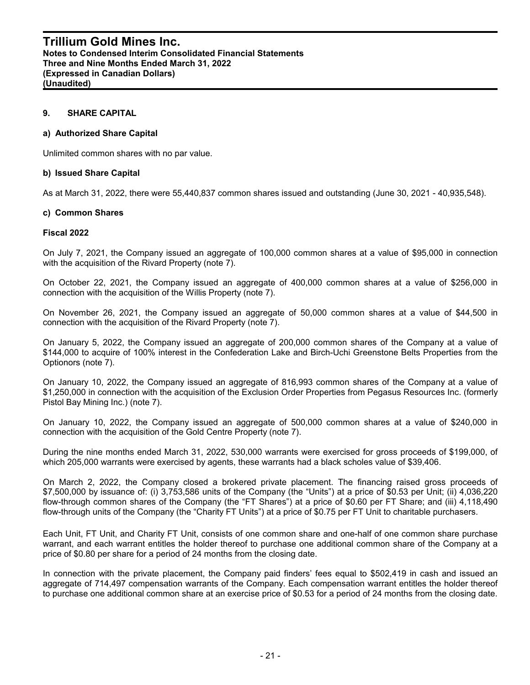#### **9. SHARE CAPITAL**

#### **a) Authorized Share Capital**

Unlimited common shares with no par value.

#### **b) Issued Share Capital**

As at March 31, 2022, there were 55,440,837 common shares issued and outstanding (June 30, 2021 - 40,935,548).

#### **c) Common Shares**

#### **Fiscal 2022**

On July 7, 2021, the Company issued an aggregate of 100,000 common shares at a value of \$95,000 in connection with the acquisition of the Rivard Property (note 7).

On October 22, 2021, the Company issued an aggregate of 400,000 common shares at a value of \$256,000 in connection with the acquisition of the Willis Property (note 7).

On November 26, 2021, the Company issued an aggregate of 50,000 common shares at a value of \$44,500 in connection with the acquisition of the Rivard Property (note 7).

On January 5, 2022, the Company issued an aggregate of 200,000 common shares of the Company at a value of \$144,000 to acquire of 100% interest in the Confederation Lake and Birch-Uchi Greenstone Belts Properties from the Optionors (note 7).

On January 10, 2022, the Company issued an aggregate of 816,993 common shares of the Company at a value of \$1,250,000 in connection with the acquisition of the Exclusion Order Properties from Pegasus Resources Inc. (formerly Pistol Bay Mining Inc.) (note 7).

On January 10, 2022, the Company issued an aggregate of 500,000 common shares at a value of \$240,000 in connection with the acquisition of the Gold Centre Property (note 7).

During the nine months ended March 31, 2022, 530,000 warrants were exercised for gross proceeds of \$199,000, of which 205,000 warrants were exercised by agents, these warrants had a black scholes value of \$39,406.

On March 2, 2022, the Company closed a brokered private placement. The financing raised gross proceeds of \$7,500,000 by issuance of: (i) 3,753,586 units of the Company (the "Units") at a price of \$0.53 per Unit; (ii) 4,036,220 flow-through common shares of the Company (the "FT Shares") at a price of \$0.60 per FT Share; and (iii) 4,118,490 flow-through units of the Company (the "Charity FT Units") at a price of \$0.75 per FT Unit to charitable purchasers.

Each Unit, FT Unit, and Charity FT Unit, consists of one common share and one-half of one common share purchase warrant, and each warrant entitles the holder thereof to purchase one additional common share of the Company at a price of \$0.80 per share for a period of 24 months from the closing date.

In connection with the private placement, the Company paid finders' fees equal to \$502,419 in cash and issued an aggregate of 714,497 compensation warrants of the Company. Each compensation warrant entitles the holder thereof to purchase one additional common share at an exercise price of \$0.53 for a period of 24 months from the closing date.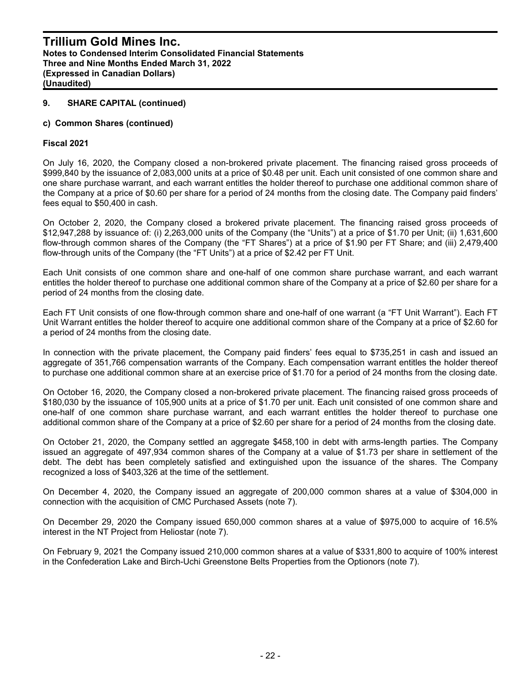#### **c) Common Shares (continued)**

#### **Fiscal 2021**

On July 16, 2020, the Company closed a non-brokered private placement. The financing raised gross proceeds of \$999,840 by the issuance of 2,083,000 units at a price of \$0.48 per unit. Each unit consisted of one common share and one share purchase warrant, and each warrant entitles the holder thereof to purchase one additional common share of the Company at a price of \$0.60 per share for a period of 24 months from the closing date. The Company paid finders' fees equal to \$50,400 in cash.

On October 2, 2020, the Company closed a brokered private placement. The financing raised gross proceeds of \$12,947,288 by issuance of: (i) 2,263,000 units of the Company (the "Units") at a price of \$1.70 per Unit; (ii) 1,631,600 flow-through common shares of the Company (the "FT Shares") at a price of \$1.90 per FT Share; and (iii) 2,479,400 flow-through units of the Company (the "FT Units") at a price of \$2.42 per FT Unit.

Each Unit consists of one common share and one-half of one common share purchase warrant, and each warrant entitles the holder thereof to purchase one additional common share of the Company at a price of \$2.60 per share for a period of 24 months from the closing date.

Each FT Unit consists of one flow-through common share and one-half of one warrant (a "FT Unit Warrant"). Each FT Unit Warrant entitles the holder thereof to acquire one additional common share of the Company at a price of \$2.60 for a period of 24 months from the closing date.

In connection with the private placement, the Company paid finders' fees equal to \$735,251 in cash and issued an aggregate of 351,766 compensation warrants of the Company. Each compensation warrant entitles the holder thereof to purchase one additional common share at an exercise price of \$1.70 for a period of 24 months from the closing date.

On October 16, 2020, the Company closed a non-brokered private placement. The financing raised gross proceeds of \$180,030 by the issuance of 105,900 units at a price of \$1.70 per unit. Each unit consisted of one common share and one-half of one common share purchase warrant, and each warrant entitles the holder thereof to purchase one additional common share of the Company at a price of \$2.60 per share for a period of 24 months from the closing date.

On October 21, 2020, the Company settled an aggregate \$458,100 in debt with arms-length parties. The Company issued an aggregate of 497,934 common shares of the Company at a value of \$1.73 per share in settlement of the debt. The debt has been completely satisfied and extinguished upon the issuance of the shares. The Company recognized a loss of \$403,326 at the time of the settlement.

On December 4, 2020, the Company issued an aggregate of 200,000 common shares at a value of \$304,000 in connection with the acquisition of CMC Purchased Assets (note 7).

On December 29, 2020 the Company issued 650,000 common shares at a value of \$975,000 to acquire of 16.5% interest in the NT Project from Heliostar (note 7).

On February 9, 2021 the Company issued 210,000 common shares at a value of \$331,800 to acquire of 100% interest in the Confederation Lake and Birch-Uchi Greenstone Belts Properties from the Optionors (note 7).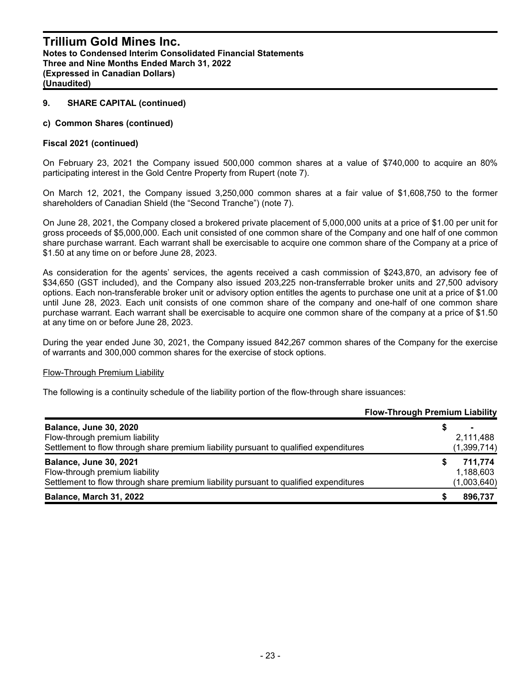#### **c) Common Shares (continued)**

#### **Fiscal 2021 (continued)**

On February 23, 2021 the Company issued 500,000 common shares at a value of \$740,000 to acquire an 80% participating interest in the Gold Centre Property from Rupert (note 7).

On March 12, 2021, the Company issued 3,250,000 common shares at a fair value of \$1,608,750 to the former shareholders of Canadian Shield (the "Second Tranche") (note 7).

On June 28, 2021, the Company closed a brokered private placement of 5,000,000 units at a price of \$1.00 per unit for gross proceeds of \$5,000,000. Each unit consisted of one common share of the Company and one half of one common share purchase warrant. Each warrant shall be exercisable to acquire one common share of the Company at a price of \$1.50 at any time on or before June 28, 2023.

As consideration for the agents' services, the agents received a cash commission of \$243,870, an advisory fee of \$34,650 (GST included), and the Company also issued 203,225 non-transferrable broker units and 27,500 advisory options. Each non-transferable broker unit or advisory option entitles the agents to purchase one unit at a price of \$1.00 until June 28, 2023. Each unit consists of one common share of the company and one-half of one common share purchase warrant. Each warrant shall be exercisable to acquire one common share of the company at a price of \$1.50 at any time on or before June 28, 2023.

During the year ended June 30, 2021, the Company issued 842,267 common shares of the Company for the exercise of warrants and 300,000 common shares for the exercise of stock options.

#### Flow-Through Premium Liability

The following is a continuity schedule of the liability portion of the flow-through share issuances:

|                                                                                       | <b>Flow-Through Premium Liability</b> |             |
|---------------------------------------------------------------------------------------|---------------------------------------|-------------|
| <b>Balance, June 30, 2020</b>                                                         |                                       |             |
| Flow-through premium liability                                                        |                                       | 2,111,488   |
| Settlement to flow through share premium liability pursuant to qualified expenditures |                                       | (1,399,714) |
| <b>Balance, June 30, 2021</b>                                                         | S                                     | 711.774     |
| Flow-through premium liability                                                        |                                       | 1,188,603   |
| Settlement to flow through share premium liability pursuant to qualified expenditures |                                       | (1,003,640) |
| Balance, March 31, 2022                                                               |                                       | 896,737     |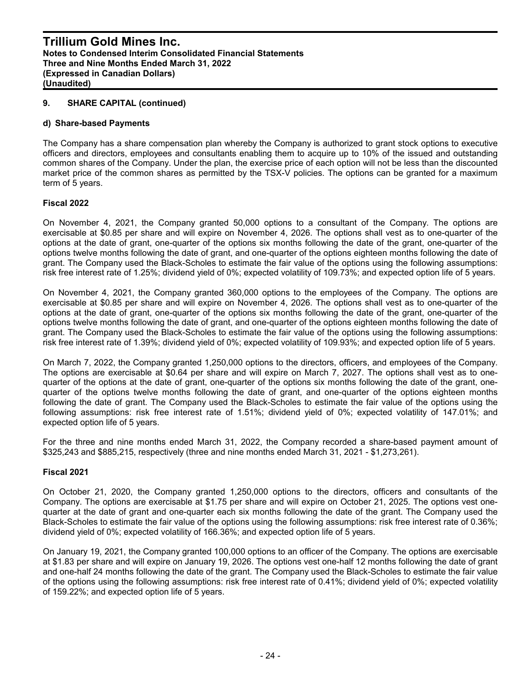#### **d) Share-based Payments**

The Company has a share compensation plan whereby the Company is authorized to grant stock options to executive officers and directors, employees and consultants enabling them to acquire up to 10% of the issued and outstanding common shares of the Company. Under the plan, the exercise price of each option will not be less than the discounted market price of the common shares as permitted by the TSX-V policies. The options can be granted for a maximum term of 5 years.

#### **Fiscal 2022**

On November 4, 2021, the Company granted 50,000 options to a consultant of the Company. The options are exercisable at \$0.85 per share and will expire on November 4, 2026. The options shall vest as to one-quarter of the options at the date of grant, one-quarter of the options six months following the date of the grant, one-quarter of the options twelve months following the date of grant, and one-quarter of the options eighteen months following the date of grant. The Company used the Black-Scholes to estimate the fair value of the options using the following assumptions: risk free interest rate of 1.25%; dividend yield of 0%; expected volatility of 109.73%; and expected option life of 5 years.

On November 4, 2021, the Company granted 360,000 options to the employees of the Company. The options are exercisable at \$0.85 per share and will expire on November 4, 2026. The options shall vest as to one-quarter of the options at the date of grant, one-quarter of the options six months following the date of the grant, one-quarter of the options twelve months following the date of grant, and one-quarter of the options eighteen months following the date of grant. The Company used the Black-Scholes to estimate the fair value of the options using the following assumptions: risk free interest rate of 1.39%; dividend yield of 0%; expected volatility of 109.93%; and expected option life of 5 years.

On March 7, 2022, the Company granted 1,250,000 options to the directors, officers, and employees of the Company. The options are exercisable at \$0.64 per share and will expire on March 7, 2027. The options shall vest as to onequarter of the options at the date of grant, one-quarter of the options six months following the date of the grant, onequarter of the options twelve months following the date of grant, and one-quarter of the options eighteen months following the date of grant. The Company used the Black-Scholes to estimate the fair value of the options using the following assumptions: risk free interest rate of 1.51%; dividend yield of 0%; expected volatility of 147.01%; and expected option life of 5 years.

For the three and nine months ended March 31, 2022, the Company recorded a share-based payment amount of \$325,243 and \$885,215, respectively (three and nine months ended March 31, 2021 - \$1,273,261).

#### **Fiscal 2021**

On October 21, 2020, the Company granted 1,250,000 options to the directors, officers and consultants of the Company. The options are exercisable at \$1.75 per share and will expire on October 21, 2025. The options vest onequarter at the date of grant and one-quarter each six months following the date of the grant. The Company used the Black-Scholes to estimate the fair value of the options using the following assumptions: risk free interest rate of 0.36%; dividend yield of 0%; expected volatility of 166.36%; and expected option life of 5 years.

On January 19, 2021, the Company granted 100,000 options to an officer of the Company. The options are exercisable at \$1.83 per share and will expire on January 19, 2026. The options vest one-half 12 months following the date of grant and one-half 24 months following the date of the grant. The Company used the Black-Scholes to estimate the fair value of the options using the following assumptions: risk free interest rate of 0.41%; dividend yield of 0%; expected volatility of 159.22%; and expected option life of 5 years.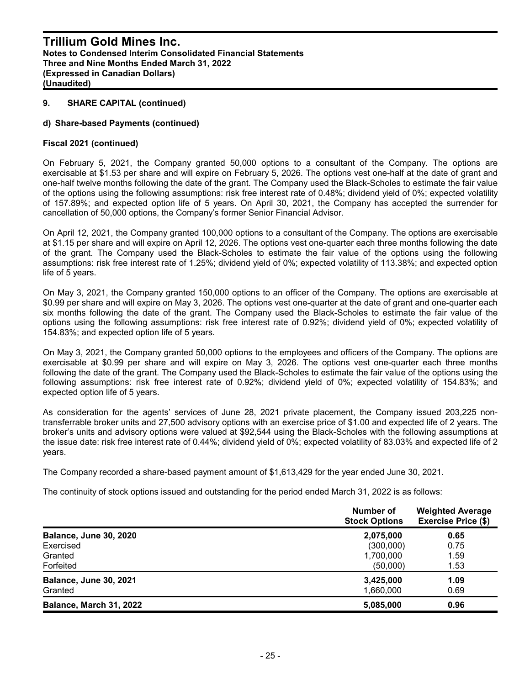#### **d) Share-based Payments (continued)**

#### **Fiscal 2021 (continued)**

On February 5, 2021, the Company granted 50,000 options to a consultant of the Company. The options are exercisable at \$1.53 per share and will expire on February 5, 2026. The options vest one-half at the date of grant and one-half twelve months following the date of the grant. The Company used the Black-Scholes to estimate the fair value of the options using the following assumptions: risk free interest rate of 0.48%; dividend yield of 0%; expected volatility of 157.89%; and expected option life of 5 years. On April 30, 2021, the Company has accepted the surrender for cancellation of 50,000 options, the Company's former Senior Financial Advisor.

On April 12, 2021, the Company granted 100,000 options to a consultant of the Company. The options are exercisable at \$1.15 per share and will expire on April 12, 2026. The options vest one-quarter each three months following the date of the grant. The Company used the Black-Scholes to estimate the fair value of the options using the following assumptions: risk free interest rate of 1.25%; dividend yield of 0%; expected volatility of 113.38%; and expected option life of 5 years.

On May 3, 2021, the Company granted 150,000 options to an officer of the Company. The options are exercisable at \$0.99 per share and will expire on May 3, 2026. The options vest one-quarter at the date of grant and one-quarter each six months following the date of the grant. The Company used the Black-Scholes to estimate the fair value of the options using the following assumptions: risk free interest rate of 0.92%; dividend yield of 0%; expected volatility of 154.83%; and expected option life of 5 years.

On May 3, 2021, the Company granted 50,000 options to the employees and officers of the Company. The options are exercisable at \$0.99 per share and will expire on May 3, 2026. The options vest one-quarter each three months following the date of the grant. The Company used the Black-Scholes to estimate the fair value of the options using the following assumptions: risk free interest rate of 0.92%; dividend yield of 0%; expected volatility of 154.83%; and expected option life of 5 years.

As consideration for the agents' services of June 28, 2021 private placement, the Company issued 203,225 nontransferrable broker units and 27,500 advisory options with an exercise price of \$1.00 and expected life of 2 years. The broker's units and advisory options were valued at \$92,544 using the Black-Scholes with the following assumptions at the issue date: risk free interest rate of 0.44%; dividend yield of 0%; expected volatility of 83.03% and expected life of 2 years.

The Company recorded a share-based payment amount of \$1,613,429 for the year ended June 30, 2021.

The continuity of stock options issued and outstanding for the period ended March 31, 2022 is as follows:

|                                | Number of<br><b>Stock Options</b> | <b>Weighted Average</b><br><b>Exercise Price (\$)</b> |  |  |
|--------------------------------|-----------------------------------|-------------------------------------------------------|--|--|
| <b>Balance, June 30, 2020</b>  | 2,075,000                         | 0.65                                                  |  |  |
| Exercised                      | (300,000)                         | 0.75                                                  |  |  |
| Granted                        | 1,700,000                         | 1.59                                                  |  |  |
| Forfeited                      | (50,000)                          | 1.53                                                  |  |  |
| <b>Balance, June 30, 2021</b>  | 3,425,000                         | 1.09                                                  |  |  |
| Granted                        | 1,660,000                         | 0.69                                                  |  |  |
| <b>Balance, March 31, 2022</b> | 5,085,000                         | 0.96                                                  |  |  |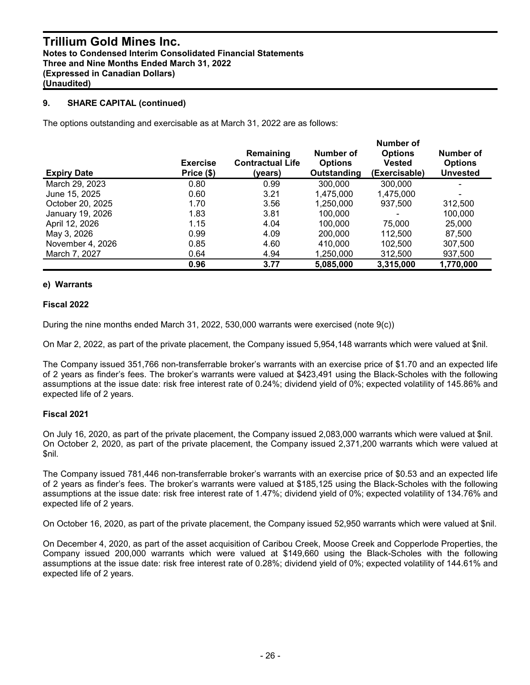The options outstanding and exercisable as at March 31, 2022 are as follows:

| <b>Expiry Date</b> | <b>Exercise</b><br>Price (\$) | Remaining<br><b>Contractual Life</b><br>(vears) | Number of<br><b>Options</b><br>Outstanding | Number of<br><b>Options</b><br><b>Vested</b><br>(Exercisable) | Number of<br><b>Options</b><br><b>Unvested</b> |
|--------------------|-------------------------------|-------------------------------------------------|--------------------------------------------|---------------------------------------------------------------|------------------------------------------------|
| March 29, 2023     | 0.80                          | 0.99                                            | 300,000                                    | 300,000                                                       |                                                |
| June 15, 2025      | 0.60                          | 3.21                                            | 1,475,000                                  | 1,475,000                                                     | ۰                                              |
| October 20, 2025   | 1.70                          | 3.56                                            | 1,250,000                                  | 937.500                                                       | 312,500                                        |
| January 19, 2026   | 1.83                          | 3.81                                            | 100.000                                    |                                                               | 100.000                                        |
| April 12, 2026     | 1.15                          | 4.04                                            | 100.000                                    | 75,000                                                        | 25,000                                         |
| May 3, 2026        | 0.99                          | 4.09                                            | 200,000                                    | 112,500                                                       | 87,500                                         |
| November 4, 2026   | 0.85                          | 4.60                                            | 410.000                                    | 102.500                                                       | 307,500                                        |
| March 7, 2027      | 0.64                          | 4.94                                            | 1,250,000                                  | 312,500                                                       | 937,500                                        |
|                    | 0.96                          | 3.77                                            | 5,085,000                                  | 3,315,000                                                     | 1,770,000                                      |

## **e) Warrants**

## **Fiscal 2022**

During the nine months ended March 31, 2022, 530,000 warrants were exercised (note 9(c))

On Mar 2, 2022, as part of the private placement, the Company issued 5,954,148 warrants which were valued at \$nil.

The Company issued 351,766 non-transferrable broker's warrants with an exercise price of \$1.70 and an expected life of 2 years as finder's fees. The broker's warrants were valued at \$423,491 using the Black-Scholes with the following assumptions at the issue date: risk free interest rate of 0.24%; dividend yield of 0%; expected volatility of 145.86% and expected life of 2 years.

## **Fiscal 2021**

On July 16, 2020, as part of the private placement, the Company issued 2,083,000 warrants which were valued at \$nil. On October 2, 2020, as part of the private placement, the Company issued 2,371,200 warrants which were valued at \$nil.

The Company issued 781,446 non-transferrable broker's warrants with an exercise price of \$0.53 and an expected life of 2 years as finder's fees. The broker's warrants were valued at \$185,125 using the Black-Scholes with the following assumptions at the issue date: risk free interest rate of 1.47%; dividend yield of 0%; expected volatility of 134.76% and expected life of 2 years.

On October 16, 2020, as part of the private placement, the Company issued 52,950 warrants which were valued at \$nil.

On December 4, 2020, as part of the asset acquisition of Caribou Creek, Moose Creek and Copperlode Properties, the Company issued 200,000 warrants which were valued at \$149,660 using the Black-Scholes with the following assumptions at the issue date: risk free interest rate of 0.28%; dividend yield of 0%; expected volatility of 144.61% and expected life of 2 years.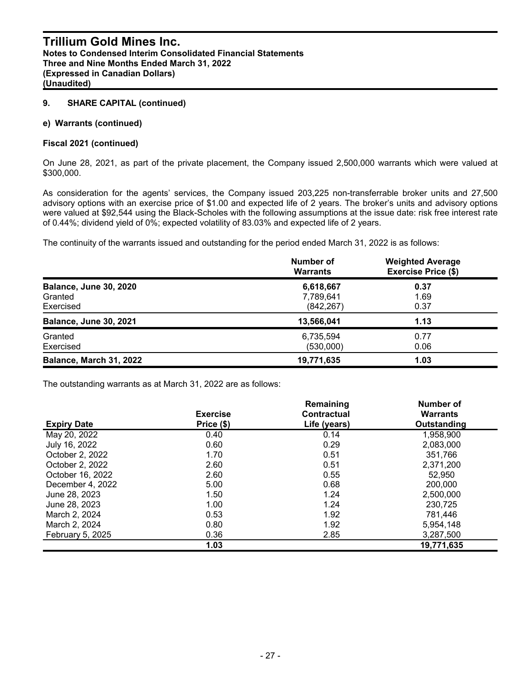#### **e) Warrants (continued)**

#### **Fiscal 2021 (continued)**

On June 28, 2021, as part of the private placement, the Company issued 2,500,000 warrants which were valued at \$300,000.

As consideration for the agents' services, the Company issued 203,225 non-transferrable broker units and 27,500 advisory options with an exercise price of \$1.00 and expected life of 2 years. The broker's units and advisory options were valued at \$92,544 using the Black-Scholes with the following assumptions at the issue date: risk free interest rate of 0.44%; dividend yield of 0%; expected volatility of 83.03% and expected life of 2 years.

The continuity of the warrants issued and outstanding for the period ended March 31, 2022 is as follows:

|                                                       | Number of<br><b>Warrants</b>         | <b>Weighted Average</b><br><b>Exercise Price (\$)</b> |
|-------------------------------------------------------|--------------------------------------|-------------------------------------------------------|
| <b>Balance, June 30, 2020</b><br>Granted<br>Exercised | 6,618,667<br>7,789,641<br>(842, 267) | 0.37<br>1.69<br>0.37                                  |
| <b>Balance, June 30, 2021</b>                         | 13,566,041                           | 1.13                                                  |
| Granted<br>Exercised                                  | 6,735,594<br>(530,000)               | 0.77<br>0.06                                          |
| Balance, March 31, 2022                               | 19,771,635                           | 1.03                                                  |

The outstanding warrants as at March 31, 2022 are as follows:

|                    |                 | Remaining    | <b>Number of</b> |
|--------------------|-----------------|--------------|------------------|
|                    | <b>Exercise</b> | Contractual  | <b>Warrants</b>  |
| <b>Expiry Date</b> | Price (\$)      | Life (years) | Outstanding      |
| May 20, 2022       | 0.40            | 0.14         | 1,958,900        |
| July 16, 2022      | 0.60            | 0.29         | 2,083,000        |
| October 2, 2022    | 1.70            | 0.51         | 351.766          |
| October 2, 2022    | 2.60            | 0.51         | 2,371,200        |
| October 16, 2022   | 2.60            | 0.55         | 52.950           |
| December 4, 2022   | 5.00            | 0.68         | 200,000          |
| June 28, 2023      | 1.50            | 1.24         | 2,500,000        |
| June 28, 2023      | 1.00            | 1.24         | 230,725          |
| March 2, 2024      | 0.53            | 1.92         | 781.446          |
| March 2, 2024      | 0.80            | 1.92         | 5,954,148        |
| February 5, 2025   | 0.36            | 2.85         | 3,287,500        |
|                    | 1.03            |              | 19,771,635       |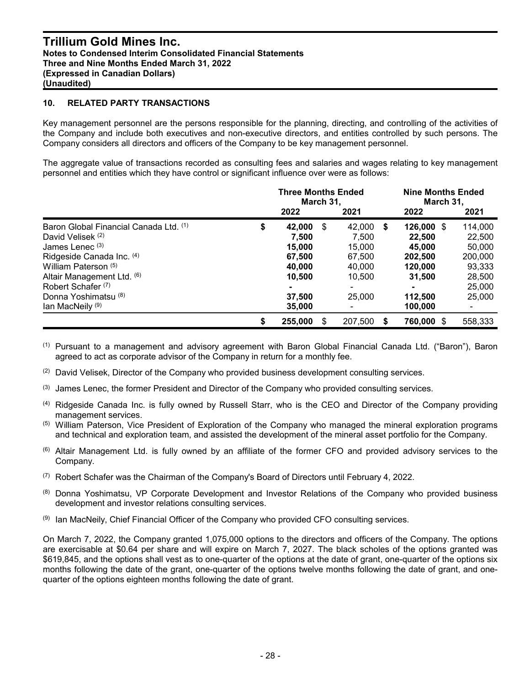#### **10. RELATED PARTY TRANSACTIONS**

Key management personnel are the persons responsible for the planning, directing, and controlling of the activities of the Company and include both executives and non-executive directors, and entities controlled by such persons. The Company considers all directors and officers of the Company to be key management personnel.

The aggregate value of transactions recorded as consulting fees and salaries and wages relating to key management personnel and entities which they have control or significant influence over were as follows:

|                                        | <b>Three Months Ended</b><br>March 31, |     |         |    |                   | <b>Nine Months Ended</b><br>March 31, |  |  |
|----------------------------------------|----------------------------------------|-----|---------|----|-------------------|---------------------------------------|--|--|
|                                        | 2022                                   |     | 2021    |    | 2022              | 2021                                  |  |  |
| Baron Global Financial Canada Ltd. (1) | \$<br>42,000                           | -\$ | 42,000  | -S | 126,000 \$        | 114,000                               |  |  |
| David Velisek (2)                      | 7.500                                  |     | 7.500   |    | 22.500            | 22,500                                |  |  |
| James Lenec <sup>(3)</sup>             | 15,000                                 |     | 15.000  |    | 45,000            | 50,000                                |  |  |
| Ridgeside Canada Inc. (4)              | 67.500                                 |     | 67.500  |    | 202.500           | 200,000                               |  |  |
| William Paterson (5)                   | 40,000                                 |     | 40.000  |    | 120,000           | 93,333                                |  |  |
| Altair Management Ltd. (6)             | 10.500                                 |     | 10.500  |    | 31.500            | 28,500                                |  |  |
| Robert Schafer <sup>(7)</sup>          |                                        |     |         |    |                   | 25,000                                |  |  |
| Donna Yoshimatsu <sup>(8)</sup>        | 37.500                                 |     | 25,000  |    | 112.500           | 25,000                                |  |  |
| lan MacNeily <sup>(9)</sup>            | 35,000                                 |     |         |    | 100,000           | ٠                                     |  |  |
|                                        | \$<br>255,000                          | \$  | 207,500 | S  | <b>760,000 \$</b> | 558,333                               |  |  |

(1) Pursuant to a management and advisory agreement with Baron Global Financial Canada Ltd. ("Baron"), Baron agreed to act as corporate advisor of the Company in return for a monthly fee.

 $(2)$  David Velisek, Director of the Company who provided business development consulting services.

- $<sup>(3)</sup>$  James Lenec, the former President and Director of the Company who provided consulting services.</sup>
- (4) Ridgeside Canada Inc. is fully owned by Russell Starr, who is the CEO and Director of the Company providing management services.
- (5) William Paterson, Vice President of Exploration of the Company who managed the mineral exploration programs and technical and exploration team, and assisted the development of the mineral asset portfolio for the Company.
- <sup>(6)</sup> Altair Management Ltd. is fully owned by an affiliate of the former CFO and provided advisory services to the Company.
- $(7)$  Robert Schafer was the Chairman of the Company's Board of Directors until February 4, 2022.
- (8) Donna Yoshimatsu, VP Corporate Development and Investor Relations of the Company who provided business development and investor relations consulting services.
- (9) Ian MacNeily, Chief Financial Officer of the Company who provided CFO consulting services.

On March 7, 2022, the Company granted 1,075,000 options to the directors and officers of the Company. The options are exercisable at \$0.64 per share and will expire on March 7, 2027. The black scholes of the options granted was \$619,845, and the options shall vest as to one-quarter of the options at the date of grant, one-quarter of the options six months following the date of the grant, one-quarter of the options twelve months following the date of grant, and onequarter of the options eighteen months following the date of grant.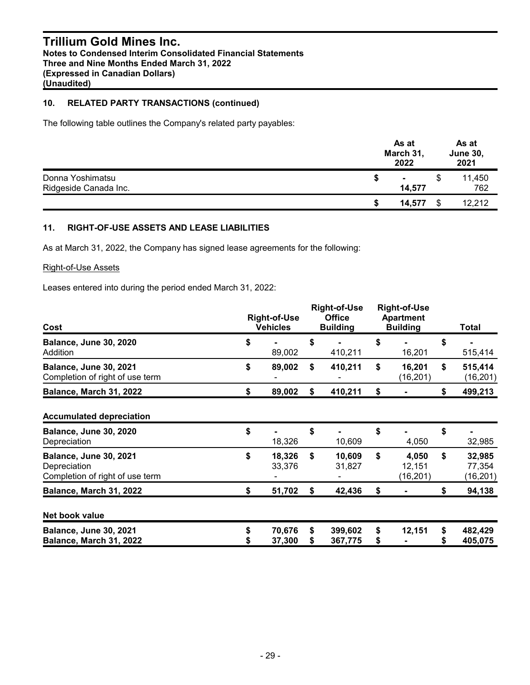## **Trillium Gold Mines Inc. Notes to Condensed Interim Consolidated Financial Statements Three and Nine Months Ended March 31, 2022 (Expressed in Canadian Dollars) (Unaudited)**

## **10. RELATED PARTY TRANSACTIONS (continued)**

The following table outlines the Company's related party payables:

|                       |   | As at<br>March 31,<br>2022 | As at<br><b>June 30,</b><br>2021 |
|-----------------------|---|----------------------------|----------------------------------|
| Donna Yoshimatsu      | S | $\sim$                     | 11,450                           |
| Ridgeside Canada Inc. |   | 14,577                     | 762                              |
|                       | S | 14.577                     | 12,212                           |

## **11. RIGHT-OF-USE ASSETS AND LEASE LIABILITIES**

As at March 31, 2022, the Company has signed lease agreements for the following:

#### Right-of-Use Assets

Leases entered into during the period ended March 31, 2022:

| Cost                                                                             |    | <b>Right-of-Use</b><br><b>Vehicles</b> |          | <b>Right-of-Use</b><br><b>Office</b><br><b>Building</b> | <b>Right-of-Use</b><br><b>Apartment</b><br><b>Building</b> |                             |    | Total                         |  |
|----------------------------------------------------------------------------------|----|----------------------------------------|----------|---------------------------------------------------------|------------------------------------------------------------|-----------------------------|----|-------------------------------|--|
| <b>Balance, June 30, 2020</b><br>Addition                                        | \$ | 89,002                                 |          | 410,211                                                 | \$                                                         | 16,201                      | \$ | 515,414                       |  |
| <b>Balance, June 30, 2021</b><br>Completion of right of use term                 | \$ | 89,002                                 | \$       | 410,211                                                 | \$                                                         | 16,201<br>(16,201)          | \$ | 515,414<br>(16, 201)          |  |
| Balance, March 31, 2022                                                          | S  | 89,002                                 | \$       | 410,211                                                 | S                                                          |                             | S  | 499,213                       |  |
| <b>Accumulated depreciation</b>                                                  |    |                                        |          |                                                         |                                                            |                             |    |                               |  |
| <b>Balance, June 30, 2020</b><br>Depreciation                                    | \$ | 18,326                                 | \$       | 10,609                                                  | \$                                                         | 4,050                       | \$ | 32,985                        |  |
| <b>Balance, June 30, 2021</b><br>Depreciation<br>Completion of right of use term | \$ | 18,326<br>33,376                       | \$       | 10,609<br>31,827                                        | \$                                                         | 4,050<br>12,151<br>(16,201) | \$ | 32,985<br>77,354<br>(16, 201) |  |
| Balance, March 31, 2022                                                          | \$ | 51,702                                 | \$       | 42,436                                                  | \$                                                         |                             | \$ | 94,138                        |  |
| Net book value                                                                   |    |                                        |          |                                                         |                                                            |                             |    |                               |  |
| <b>Balance, June 30, 2021</b><br>Balance, March 31, 2022                         |    | 70,676<br>37,300                       | \$<br>\$ | 399,602<br>367,775                                      | \$<br>\$                                                   | 12,151                      | \$ | 482,429<br>405,075            |  |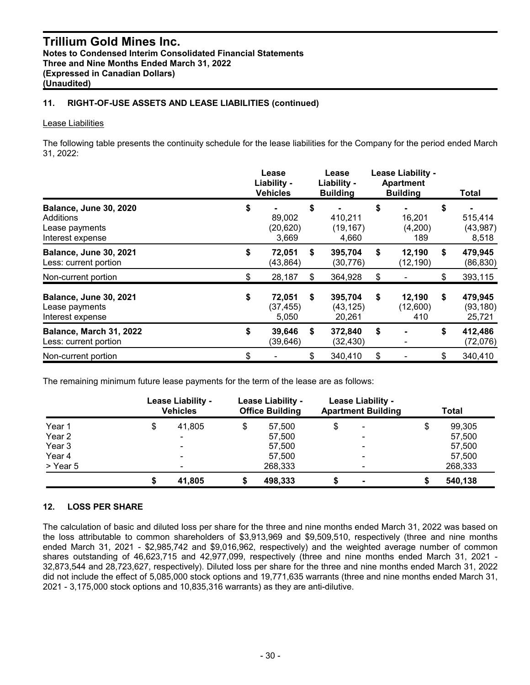## **11. RIGHT-OF-USE ASSETS AND LEASE LIABILITIES (continued)**

#### Lease Liabilities

The following table presents the continuity schedule for the lease liabilities for the Company for the period ended March 31, 2022:

|                                                                                  |    | Lease<br>Liability -<br><b>Vehicles</b> |    | Lease<br>Liability -<br><b>Building</b> | Lease Liability -<br><b>Apartment</b><br><b>Building</b> |                           | Total                                |
|----------------------------------------------------------------------------------|----|-----------------------------------------|----|-----------------------------------------|----------------------------------------------------------|---------------------------|--------------------------------------|
| <b>Balance, June 30, 2020</b><br>Additions<br>Lease payments<br>Interest expense |    | 89,002<br>(20, 620)<br>3,669            | \$ | 410,211<br>(19, 167)<br>4,660           | \$                                                       | 16,201<br>(4,200)<br>189  | \$<br>515,414<br>(43, 987)<br>8,518  |
| <b>Balance, June 30, 2021</b><br>Less: current portion                           | \$ | 72,051<br>(43, 864)                     | \$ | 395,704<br>(30, 776)                    | \$                                                       | 12,190<br>(12, 190)       | \$<br>479,945<br>(86, 830)           |
| Non-current portion                                                              | \$ | 28,187                                  | \$ | 364,928                                 | \$                                                       |                           | \$<br>393,115                        |
| <b>Balance, June 30, 2021</b><br>Lease payments<br>Interest expense              | \$ | 72,051<br>(37, 455)<br>5,050            | \$ | 395,704<br>(43, 125)<br>20,261          | \$                                                       | 12,190<br>(12,600)<br>410 | \$<br>479,945<br>(93, 180)<br>25,721 |
| Balance, March 31, 2022<br>Less: current portion                                 | \$ | 39,646<br>(39, 646)                     | \$ | 372,840<br>(32, 430)                    | \$                                                       |                           | \$<br>412,486<br>(72,076)            |
| Non-current portion                                                              | \$ |                                         | \$ | 340,410                                 | \$                                                       |                           | \$<br>340,410                        |

The remaining minimum future lease payments for the term of the lease are as follows:

|          | Lease Liability -<br><b>Vehicles</b> |    | Lease Liability -<br><b>Office Building</b> |    | Lease Liability -<br><b>Apartment Building</b> | Total        |
|----------|--------------------------------------|----|---------------------------------------------|----|------------------------------------------------|--------------|
| Year 1   | \$<br>41,805                         | \$ | 57,500                                      | \$ |                                                | \$<br>99,305 |
| Year 2   | $\sim$                               |    | 57,500                                      |    |                                                | 57,500       |
| Year 3   | $\blacksquare$                       |    | 57,500                                      |    |                                                | 57,500       |
| Year 4   |                                      |    | 57.500                                      |    |                                                | 57,500       |
| > Year 5 | $\blacksquare$                       |    | 268,333                                     |    |                                                | 268,333      |
|          | 41,805                               |    | 498.333                                     |    |                                                | 540,138      |

## **12. LOSS PER SHARE**

The calculation of basic and diluted loss per share for the three and nine months ended March 31, 2022 was based on the loss attributable to common shareholders of \$3,913,969 and \$9,509,510, respectively (three and nine months ended March 31, 2021 - \$2,985,742 and \$9,016,962, respectively) and the weighted average number of common shares outstanding of 46,623,715 and 42,977,099, respectively (three and nine months ended March 31, 2021 - 32,873,544 and 28,723,627, respectively). Diluted loss per share for the three and nine months ended March 31, 2022 did not include the effect of 5,085,000 stock options and 19,771,635 warrants (three and nine months ended March 31, 2021 - 3,175,000 stock options and 10,835,316 warrants) as they are anti-dilutive.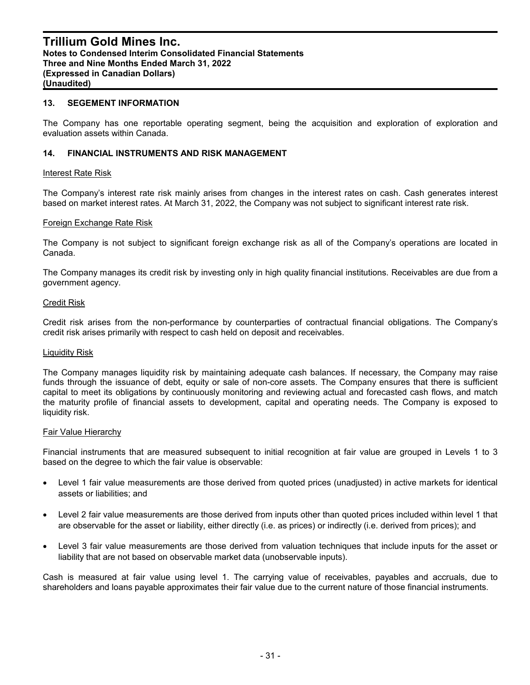#### **13. SEGEMENT INFORMATION**

The Company has one reportable operating segment, being the acquisition and exploration of exploration and evaluation assets within Canada.

#### **14. FINANCIAL INSTRUMENTS AND RISK MANAGEMENT**

#### Interest Rate Risk

The Company's interest rate risk mainly arises from changes in the interest rates on cash. Cash generates interest based on market interest rates. At March 31, 2022, the Company was not subject to significant interest rate risk.

#### Foreign Exchange Rate Risk

The Company is not subject to significant foreign exchange risk as all of the Company's operations are located in Canada.

The Company manages its credit risk by investing only in high quality financial institutions. Receivables are due from a government agency.

#### Credit Risk

Credit risk arises from the non-performance by counterparties of contractual financial obligations. The Company's credit risk arises primarily with respect to cash held on deposit and receivables.

#### Liquidity Risk

The Company manages liquidity risk by maintaining adequate cash balances. If necessary, the Company may raise funds through the issuance of debt, equity or sale of non-core assets. The Company ensures that there is sufficient capital to meet its obligations by continuously monitoring and reviewing actual and forecasted cash flows, and match the maturity profile of financial assets to development, capital and operating needs. The Company is exposed to liquidity risk.

#### Fair Value Hierarchy

Financial instruments that are measured subsequent to initial recognition at fair value are grouped in Levels 1 to 3 based on the degree to which the fair value is observable:

- Level 1 fair value measurements are those derived from quoted prices (unadjusted) in active markets for identical assets or liabilities; and
- Level 2 fair value measurements are those derived from inputs other than quoted prices included within level 1 that are observable for the asset or liability, either directly (i.e. as prices) or indirectly (i.e. derived from prices); and
- Level 3 fair value measurements are those derived from valuation techniques that include inputs for the asset or liability that are not based on observable market data (unobservable inputs).

Cash is measured at fair value using level 1. The carrying value of receivables, payables and accruals, due to shareholders and loans payable approximates their fair value due to the current nature of those financial instruments.